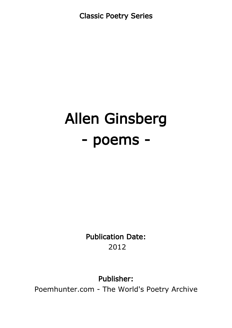Classic Poetry Series

# Allen Ginsberg - poems -

Publication Date: 2012

Publisher:

Poemhunter.com - The World's Poetry Archive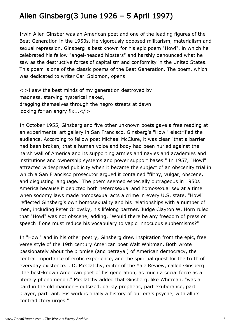# Allen Ginsberg(3 June 1926 – 5 April 1997)

Irwin Allen Ginsber was an American poet and one of the leading figures of the Beat Generation in the 1950s. He vigorously opposed militarism, materialism and sexual repression. Ginsberg is best known for his epic poem "Howl", in which he celebrated his fellow "angel-headed hipsters" and harshly denounced what he saw as the destructive forces of capitalism and conformity in the United States. This poem is one of the classic poems of the Beat Generation. The poem, which was dedicated to writer Carl Solomon, opens:

<i>I saw the best minds of my generation destroyed by madness, starving hysterical naked, dragging themselves through the negro streets at dawn looking for an angry fix...</i>

In October 1955, Ginsberg and five other unknown poets gave a free reading at an experimental art gallery in San Francisco. Ginsberg's "Howl" electrified the audience. According to fellow poet Michael McClure, it was clear "that a barrier had been broken, that a human voice and body had been hurled against the harsh wall of America and its supporting armies and navies and academies and institutions and ownership systems and power support bases." In 1957, "Howl" attracted widespread publicity when it became the subject of an obscenity trial in which a San Francisco prosecutor argued it contained "filthy, vulgar, obscene, and disgusting language." The poem seemed especially outrageous in 1950s America because it depicted both heterosexual and homosexual sex at a time when sodomy laws made homosexual acts a crime in every U.S. state. "Howl" reflected Ginsberg's own homosexuality and his relationships with a number of men, including Peter Orlovsky, his lifelong partner. Judge Clayton W. Horn ruled that "Howl" was not obscene, adding, "Would there be any freedom of press or speech if one must reduce his vocabulary to vapid innocuous euphemisms?"

In "Howl" and in his other poetry, Ginsberg drew inspiration from the epic, free verse style of the 19th century American poet Walt Whitman. Both wrote passionately about the promise (and betrayal) of American democracy, the central importance of erotic experience, and the spiritual quest for the truth of everyday existence.J. D. McClatchy, editor of the Yale Review, called Ginsberg "the best-known American poet of his generation, as much a social force as a literary phenomenon." McClatchy added that Ginsberg, like Whitman, "was a bard in the old manner – outsized, darkly prophetic, part exuberance, part prayer, part rant. His work is finally a history of our era's psyche, with all its contradictory urges."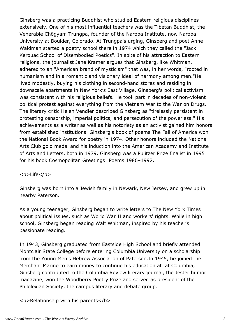Ginsberg was a practicing Buddhist who studied Eastern religious disciplines extensively. One of his most influential teachers was the Tibetan Buddhist, the Venerable Chögyam Trungpa, founder of the Naropa Institute, now Naropa University at Boulder, Colorado. At Trungpa's urging, Ginsberg and poet Anne Waldman started a poetry school there in 1974 which they called the "Jack Kerouac School of Disembodied Poetics". In spite of his attraction to Eastern religions, the journalist Jane Kramer argues that Ginsberg, like Whitman, adhered to an "American brand of mysticism" that was, in her words, "rooted in humanism and in a romantic and visionary ideal of harmony among men."He lived modestly, buying his clothing in second-hand stores and residing in downscale apartments in New York's East Village. Ginsberg's political activism was consistent with his religious beliefs. He took part in decades of non-violent political protest against everything from the Vietnam War to the War on Drugs. The literary critic Helen Vendler described Ginsberg as "tirelessly persistent in protesting censorship, imperial politics, and persecution of the powerless." His achievements as a writer as well as his notoriety as an activist gained him honors from established institutions. Ginsberg's book of poems The Fall of America won the National Book Award for poetry in 1974. Other honors included the National Arts Club gold medal and his induction into the American Academy and Institute of Arts and Letters, both in 1979. Ginsberg was a Pulitzer Prize finalist in 1995 for his book Cosmopolitan Greetings: Poems 1986–1992.

#### <b>Life</b>

Ginsberg was born into a Jewish family in Newark, New Jersey, and grew up in nearby Paterson.

As a young teenager, Ginsberg began to write letters to The New York Times about political issues, such as World War II and workers' rights. While in high school, Ginsberg began reading Walt Whitman, inspired by his teacher's passionate reading.

In 1943, Ginsberg graduated from Eastside High School and briefly attended Montclair State College before entering Columbia University on a scholarship from the Young Men's Hebrew Association of Paterson.In 1945, he joined the Merchant Marine to earn money to continue his education at at Columbia, Ginsberg contributed to the Columbia Review literary journal, the Jester humor magazine, won the Woodberry Poetry Prize and served as president of the Philolexian Society, the campus literary and debate group.

<b>Relationship with his parents</b>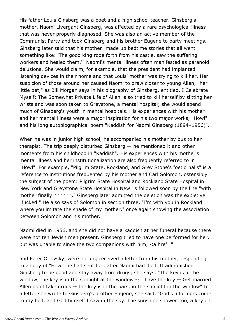His father Louis Ginsberg was a poet and a high school teacher. Ginsberg's mother, Naomi Livergant Ginsberg, was affected by a rare psychological illness that was never properly diagnosed. She was also an active member of the Communist Party and took Ginsberg and his brother Eugene to party meetings. Ginsberg later said that his mother "made up bedtime stories that all went something like: 'The good king rode forth from his castle, saw the suffering workers and healed them.'" Naomi's mental illness often manifested as paranoid delusions. She would claim, for example, that the president had implanted listening devices in their home and that Louis' mother was trying to kill her. Her suspicion of those around her caused Naomi to draw closer to young Allen, "her little pet," as Bill Morgan says in his biography of Ginsberg, entitled, I Celebrate Myself: The Somewhat Private Life of Allen also tried to kill herself by slitting her wrists and was soon taken to Greystone, a mental hospital; she would spend much of Ginsberg's youth in mental hospitals. His experiences with his mother and her mental illness were a major inspiration for his two major works, "Howl" and his long autobiographical poem "Kaddish for Naomi Ginsberg (1894–1956)".

When he was in junior high school, he accompanied his mother by bus to her therapist. The trip deeply disturbed Ginsberg — he mentioned it and other moments from his childhood in "Kaddish". His experiences with his mother's mental illness and her institutionalization are also frequently referred to in "Howl". For example, "Pilgrim State, Rockland, and Grey Stone's foetid halls" is a reference to institutions frequented by his mother and Carl Solomon, ostensibly the subject of the poem: Pilgrim State Hospital and Rockland State Hospital in New York and Greystone State Hospital in New is followed soon by the line "with mother finally \*\*\*\*\*\*." Ginsberg later admitted the deletion was the expletive "fucked." He also says of Solomon in section three, "I'm with you in Rockland where you imitate the shade of my mother," once again showing the association between Solomon and his mother.

Naomi died in 1956, and she did not have a kaddish at her funeral because there were not ten Jewish men present. Ginsberg tried to have one performed for her, but was unable to since the two companions with him,  $\leq a$  href="

and Peter Orlovsky, were not erg received a letter from his mother, responding to a copy of "Howl" he had sent her, after Naomi had died. It admonished Ginsberg to be good and stay away from drugs; she says, "The key is in the window, the key is in the sunlight at the window -- I have the key -- Get married Allen don't take drugs -- the key is in the bars, in the sunlight in the window".In a letter she wrote to Ginsberg's brother Eugene, she said, "God's informers come to my bed, and God himself I saw in the sky. The sunshine showed too, a key on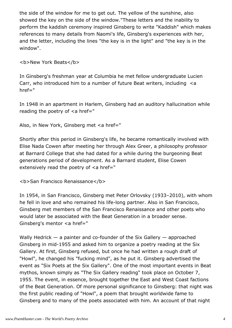the side of the window for me to get out. The yellow of the sunshine, also showed the key on the side of the window."These letters and the inability to perform the kaddish ceremony inspired Ginsberg to write "Kaddish" which makes references to many details from Naomi's life, Ginsberg's experiences with her, and the letter, including the lines "the key is in the light" and "the key is in the window".

**<b>New York Beats</b>** 

In Ginsberg's freshman year at Columbia he met fellow undergraduate Lucien Carr, who introduced him to a number of future Beat writers, including <a href="

In 1948 in an apartment in Harlem, Ginsberg had an auditory hallucination while reading the poetry of  $\leq a$  href="

Also, in New York, Ginsberg met <a href="

Shortly after this period in Ginsberg's life, he became romantically involved with Elise Nada Cowen after meeting her through Alex Greer, a philosophy professor at Barnard College that she had dated for a while during the burgeoning Beat generations period of development. As a Barnard student, Elise Cowen extensively read the poetry of  $\leq a$  href="

```
<b>San Francisco Renaissance</b>
```
In 1954, in San Francisco, Ginsberg met Peter Orlovsky (1933–2010), with whom he fell in love and who remained his life-long partner. Also in San Francisco, Ginsberg met members of the San Francisco Renaissance and other poets who would later be associated with the Beat Generation in a broader sense. Ginsberg's mentor <a href="

Wally Hedrick — a painter and co-founder of the Six Gallery — approached Ginsberg in mid-1955 and asked him to organize a poetry reading at the Six Gallery. At first, Ginsberg refused, but once he had written a rough draft of "Howl", he changed his "fucking mind", as he put it. Ginsberg advertised the event as "Six Poets at the Six Gallery". One of the most important events in Beat mythos, known simply as "The Six Gallery reading" took place on October 7, 1955. The event, in essence, brought together the East and West Coast factions of the Beat Generation. Of more personal significance to Ginsberg: that night was the first public reading of "Howl", a poem that brought worldwide fame to Ginsberg and to many of the poets associated with him. An account of that night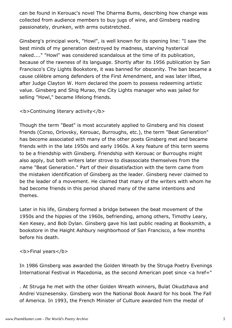can be found in Kerouac's novel The Dharma Bums, describing how change was collected from audience members to buy jugs of wine, and Ginsberg reading passionately, drunken, with arms outstretched.

Ginsberg's principal work, "Howl", is well known for its opening line: "I saw the best minds of my generation destroyed by madness, starving hysterical naked...." "Howl" was considered scandalous at the time of its publication, because of the rawness of its language. Shortly after its 1956 publication by San Francisco's City Lights Bookstore, it was banned for obscenity. The ban became a cause célèbre among defenders of the First Amendment, and was later lifted, after Judge Clayton W. Horn declared the poem to possess redeeming artistic value. Ginsberg and Shig Murao, the City Lights manager who was jailed for selling "Howl," became lifelong friends.

<b>Continuing literary activity</b>

Though the term "Beat" is most accurately applied to Ginsberg and his closest friends (Corso, Orlovsky, Kerouac, Burroughs, etc.), the term "Beat Generation" has become associated with many of the other poets Ginsberg met and became friends with in the late 1950s and early 1960s. A key feature of this term seems to be a friendship with Ginsberg. Friendship with Kerouac or Burroughs might also apply, but both writers later strove to disassociate themselves from the name "Beat Generation." Part of their dissatisfaction with the term came from the mistaken identification of Ginsberg as the leader. Ginsberg never claimed to be the leader of a movement. He claimed that many of the writers with whom he had become friends in this period shared many of the same intentions and themes.

Later in his life, Ginsberg formed a bridge between the beat movement of the 1950s and the hippies of the 1960s, befriending, among others, Timothy Leary, Ken Kesey, and Bob Dylan. Ginsberg gave his last public reading at Booksmith, a bookstore in the Haight Ashbury neighborhood of San Francisco, a few months before his death.

<b>Final years</b>

In 1986 Ginsberg was awarded the Golden Wreath by the Struga Poetry Evenings International Festival in Macedonia, as the second American poet since <a href="

. At Struga he met with the other Golden Wreath winners, Bulat Okudzhava and Andrei Voznesensky. Ginsberg won the National Book Award for his book The Fall of America. In 1993, the French Minister of Culture awarded him the medal of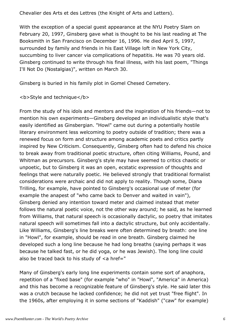Chevalier des Arts et des Lettres (the Knight of Arts and Letters).

With the exception of a special guest appearance at the NYU Poetry Slam on February 20, 1997, Ginsberg gave what is thought to be his last reading at The Booksmith in San Francisco on December 16, 1996. He died April 5, 1997, surrounded by family and friends in his East Village loft in New York City, succumbing to liver cancer via complications of hepatitis. He was 70 years old. Ginsberg continued to write through his final illness, with his last poem, "Things I'll Not Do (Nostalgias)", written on March 30.

Ginsberg is buried in his family plot in Gomel Chesed Cemetery.

<b>Style and technique</b>

From the study of his idols and mentors and the inspiration of his friends—not to mention his own experiments—Ginsberg developed an individualistic style that's easily identified as Ginsbergian. "Howl" came out during a potentially hostile literary environment less welcoming to poetry outside of tradition; there was a renewed focus on form and structure among academic poets and critics partly inspired by New Criticism. Consequently, Ginsberg often had to defend his choice to break away from traditional poetic structure, often citing Williams, Pound, and Whitman as precursors. Ginsberg's style may have seemed to critics chaotic or unpoetic, but to Ginsberg it was an open, ecstatic expression of thoughts and feelings that were naturally poetic. He believed strongly that traditional formalist considerations were archaic and did not apply to reality. Though some, Diana Trilling, for example, have pointed to Ginsberg's occasional use of meter (for example the anapest of "who came back to Denver and waited in vain"), Ginsberg denied any intention toward meter and claimed instead that meter follows the natural poetic voice, not the other way around; he said, as he learned from Williams, that natural speech is occasionally dactylic, so poetry that imitates natural speech will sometimes fall into a dactylic structure, but only accidentally. Like Williams, Ginsberg's line breaks were often determined by breath: one line in "Howl", for example, should be read in one breath. Ginsberg claimed he developed such a long line because he had long breaths (saying perhaps it was because he talked fast, or he did yoga, or he was Jewish). The long line could also be traced back to his study of  $\leq a$  href="

Many of Ginsberg's early long line experiments contain some sort of anaphora, repetition of a "fixed base" (for example "who" in "Howl", "America" in America) and this has become a recognizable feature of Ginsberg's style. He said later this was a crutch because he lacked confidence; he did not yet trust "free flight". In the 1960s, after employing it in some sections of "Kaddish" ("caw" for example)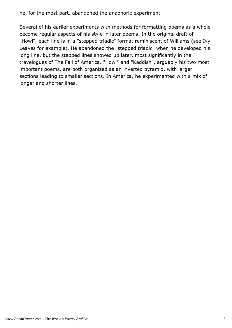he, for the most part, abandoned the anaphoric experiment.

Several of his earlier experiments with methods for formatting poems as a whole become regular aspects of his style in later poems. In the original draft of "Howl", each line is in a "stepped triadic" format reminiscent of Williams (see Ivy Leaves for example). He abandoned the "stepped triadic" when he developed his long line, but the stepped lines showed up later, most significantly in the travelogues of The Fall of America. "Howl" and "Kaddish", arguably his two most important poems, are both organized as an inverted pyramid, with larger sections leading to smaller sections. In America, he experimented with a mix of longer and shorter lines.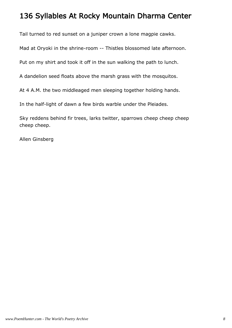### 136 Syllables At Rocky Mountain Dharma Center

Tail turned to red sunset on a juniper crown a lone magpie cawks.

Mad at Oryoki in the shrine-room -- Thistles blossomed late afternoon.

Put on my shirt and took it off in the sun walking the path to lunch.

A dandelion seed floats above the marsh grass with the mosquitos.

At 4 A.M. the two middleaged men sleeping together holding hands.

In the half-light of dawn a few birds warble under the Pleiades.

Sky reddens behind fir trees, larks twitter, sparrows cheep cheep cheep cheep cheep.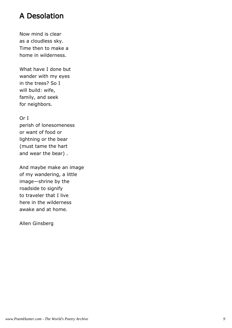#### A Desolation

Now mind is clear as a cloudless sky. Time then to make a home in wilderness.

What have I done but wander with my eyes in the trees? So I will build: wife, family, and seek for neighbors.

Or I

perish of lonesomeness or want of food or lightning or the bear (must tame the hart and wear the bear) .

And maybe make an image of my wandering, a little image—shrine by the roadside to signify to traveler that I live here in the wilderness awake and at home.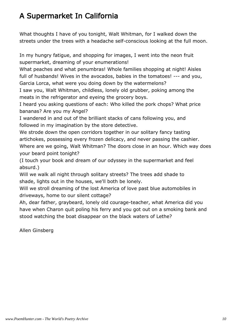# A Supermarket In California

What thoughts I have of you tonight, Walt Whitman, for I walked down the streets under the trees with a headache self-conscious looking at the full moon.

In my hungry fatigue, and shopping for images, I went into the neon fruit supermarket, dreaming of your enumerations!

What peaches and what penumbras! Whole families shopping at night! Aisles full of husbands! Wives in the avocados, babies in the tomatoes! --- and you, Garcia Lorca, what were you doing down by the watermelons?

I saw you, Walt Whitman, childless, lonely old grubber, poking among the meats in the refrigerator and eyeing the grocery boys.

I heard you asking questions of each: Who killed the pork chops? What price bananas? Are you my Angel?

I wandered in and out of the brilliant stacks of cans following you, and followed in my imagination by the store detective.

We strode down the open corridors together in our solitary fancy tasting artichokes, possessing every frozen delicacy, and never passing the cashier. Where are we going, Walt Whitman? The doors close in an hour. Which way does your beard point tonight?

(I touch your book and dream of our odyssey in the supermarket and feel absurd.)

Will we walk all night through solitary streets? The trees add shade to shade, lights out in the houses, we'll both be lonely.

Will we stroll dreaming of the lost America of love past blue automobiles in driveways, home to our silent cottage?

Ah, dear father, graybeard, lonely old courage-teacher, what America did you have when Charon quit poling his ferry and you got out on a smoking bank and stood watching the boat disappear on the black waters of Lethe?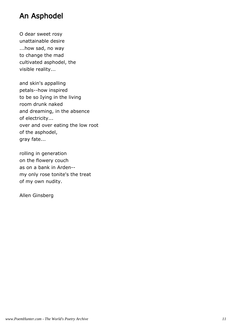### An Asphodel

O dear sweet rosy unattainable desire ...how sad, no way to change the mad cultivated asphodel, the visible reality...

and skin's appalling petals--how inspired to be so Iying in the living room drunk naked and dreaming, in the absence of electricity... over and over eating the low root of the asphodel, gray fate...

rolling in generation on the flowery couch as on a bank in Arden- my only rose tonite's the treat of my own nudity.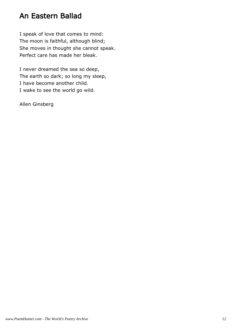#### An Eastern Ballad

I speak of love that comes to mind: The moon is faithful, although blind; She moves in thought she cannot speak. Perfect care has made her bleak.

I never dreamed the sea so deep, The earth so dark; so long my sleep, I have become another child. I wake to see the world go wild.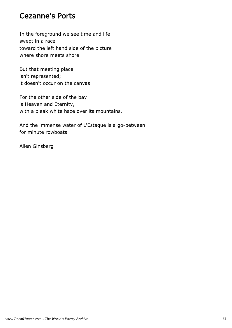#### Cezanne's Ports

In the foreground we see time and life swept in a race toward the left hand side of the picture where shore meets shore.

But that meeting place isn't represented; it doesn't occur on the canvas.

For the other side of the bay is Heaven and Eternity, with a bleak white haze over its mountains.

And the immense water of L'Estaque is a go-between for minute rowboats.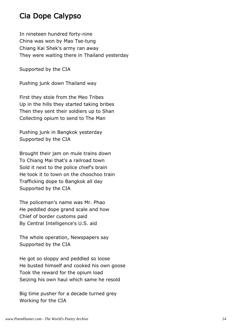#### Cia Dope Calypso

In nineteen hundred forty-nine China was won by Mao Tse-tung Chiang Kai Shek's army ran away They were waiting there in Thailand yesterday

Supported by the CIA

Pushing junk down Thailand way

First they stole from the Meo Tribes Up in the hills they started taking bribes Then they sent their soldiers up to Shan Collecting opium to send to The Man

Pushing junk in Bangkok yesterday Supported by the CIA

Brought their jam on mule trains down To Chiang Mai that's a railroad town Sold it next to the police chief's brain He took it to town on the choochoo train Trafficking dope to Bangkok all day Supported by the CIA

The policeman's name was Mr. Phao He peddled dope grand scale and how Chief of border customs paid By Central Intelligence's U.S. aid

The whole operation, Newspapers say Supported by the CIA

He got so sloppy and peddled so loose He busted himself and cooked his own goose Took the reward for the opium load Seizing his own haul which same he resold

Big time pusher for a decade turned grey Working for the CIA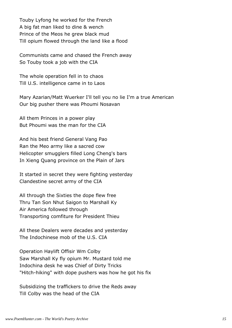Touby Lyfong he worked for the French A big fat man liked to dine & wench Prince of the Meos he grew black mud Till opium flowed through the land like a flood

Communists came and chased the French away So Touby took a job with the CIA

The whole operation fell in to chaos Till U.S. intelligence came in to Laos

Mary Azarian/Matt Wuerker I'll tell you no lie I'm a true American Our big pusher there was Phoumi Nosavan

All them Princes in a power play But Phoumi was the man for the CIA

And his best friend General Vang Pao Ran the Meo army like a sacred cow Helicopter smugglers filled Long Cheng's bars In Xieng Quang province on the Plain of Jars

It started in secret they were fighting yesterday Clandestine secret army of the CIA

All through the Sixties the dope flew free Thru Tan Son Nhut Saigon to Marshall Ky Air America followed through Transporting comfiture for President Thieu

All these Dealers were decades and yesterday The Indochinese mob of the U.S. CIA

Operation Haylift Offisir Wm Colby Saw Marshall Ky fly opium Mr. Mustard told me Indochina desk he was Chief of Dirty Tricks "Hitch-hiking" with dope pushers was how he got his fix

Subsidizing the traffickers to drive the Reds away Till Colby was the head of the CIA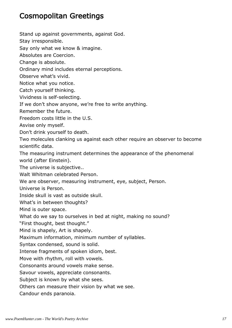### Cosmopolitan Greetings

Stand up against governments, against God.

Stay irresponsible.

Say only what we know & imagine.

Absolutes are Coercion.

Change is absolute.

Ordinary mind includes eternal perceptions.

Observe what's vivid.

Notice what you notice.

Catch yourself thinking.

Vividness is self-selecting.

If we don't show anyone, we're free to write anything.

Remember the future.

Freedom costs little in the U.S.

Asvise only myself.

Don't drink yourself to death.

Two molecules clanking us against each other require an observer to become scientific data.

The measuring instrument determines the appearance of the phenomenal world (after Einstein).

The universe is subjective..

Walt Whitman celebrated Person.

We are observer, measuring instrument, eye, subject, Person.

Universe is Person.

Inside skull is vast as outside skull.

What's in between thoughts?

Mind is outer space.

What do we say to ourselves in bed at night, making no sound?

"First thought, best thought."

Mind is shapely, Art is shapely.

Maximum information, minimum number of syllables.

Syntax condensed, sound is solid.

Intense fragments of spoken idiom, best.

Move with rhythm, roll with vowels.

Consonants around vowels make sense.

Savour vowels, appreciate consonants.

Subject is known by what she sees.

Others can measure their vision by what we see.

Candour ends paranoia.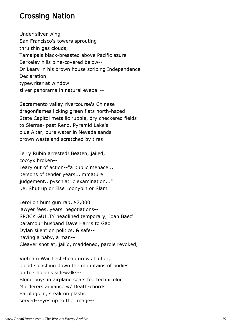#### Crossing Nation

Under silver wing San Francisco's towers sprouting thru thin gas clouds, Tamalpais black-breasted above Pacific azure Berkeley hills pine-covered below-- Dr Leary in his brown house scribing Independence Declaration typewriter at window silver panorama in natural eyeball--

Sacramento valley rivercourse's Chinese dragonflames licking green flats north-hazed State Capitol metallic rubble, dry checkered fields to Sierras- past Reno, Pyramid Lake's blue Altar, pure water in Nevada sands' brown wasteland scratched by tires

Jerry Rubin arrested! Beaten, jailed, coccyx broken-- Leary out of action--"a public menace... persons of tender years...immature judgement...pyschiatric examination..." i.e. Shut up or Else Loonybin or Slam

Leroi on bum gun rap, \$7,000 lawyer fees, years' negotiations-- SPOCK GUILTY headlined temporary, Joan Baez' paramour husband Dave Harris to Gaol Dylan silent on politics, & safe- having a baby, a man-- Cleaver shot at, jail'd, maddened, parole revoked,

Vietnam War flesh-heap grows higher, blood splashing down the mountains of bodies on to Cholon's sidewalks-- Blond boys in airplane seats fed technicolor Murderers advance w/ Death-chords Earplugs in, steak on plastic served--Eyes up to the Image--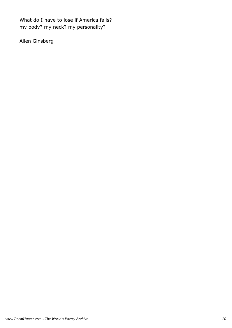What do I have to lose if America falls? my body? my neck? my personality?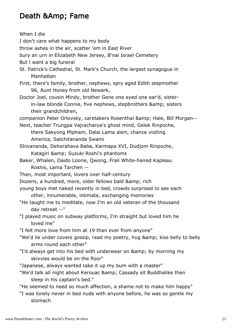# Death &Amp; Fame

When I die

I don't care what happens to my body

throw ashes in the air, scatter 'em in East River

bury an urn in Elizabeth New Jersey, B'nai Israel Cemetery

But l want a big funeral

- St. Patrick's Cathedral, St. Mark's Church, the largest synagogue in Manhattan
- First, there's family, brother, nephews, spry aged Edith stepmother 96, Aunt Honey from old Newark,
- Doctor Joel, cousin Mindy, brother Gene one eyed one ear'd, sister in-law blonde Connie, five nephews, stepbrothers & amp; sisters their grandchildren,

companion Peter Orlovsky, caretakers Rosenthal & amp; Hale, Bill Morgan--

- Next, teacher Trungpa Vajracharya's ghost mind, Gelek Rinpoche, there Sakyong Mipham, Dalai Lama alert, chance visiting America, Satchitananda Swami
- Shivananda, Dehorahava Baba, Karmapa XVI, Dudjom Rinpoche, Katagiri & amp; Suzuki Roshi's phantoms
- Baker, Whalen, Daido Loorie, Qwong, Frail White-haired Kapleau Roshis, Lama Tarchen --
- Then, most important, lovers over half-century

Dozens, a hundred, more, older fellows bald & amp; rich

- young boys met naked recently in bed, crowds surprised to see each other, innumerable, intimate, exchanging memories
- "He taught me to meditate, now I'm an old veteran of the thousand day retreat --"
- "I played music on subway platforms, I'm straight but loved him he loved me"

"I felt more love from him at 19 than ever from anyone"

- "We'd lie under covers gossip, read my poetry, hug & amp; kiss belly to belly arms round each other"
- "I'd always get into his bed with underwear on & amp; by morning my skivvies would be on the floor"
- "Japanese, always wanted take it up my bum with a master"
- "We'd talk all night about Kerouac & amp; Cassady sit Buddhalike then sleep in his captain's bed."
- "He seemed to need so much affection, a shame not to make him happy"
- "I was lonely never in bed nude with anyone before, he was so gentle my stomach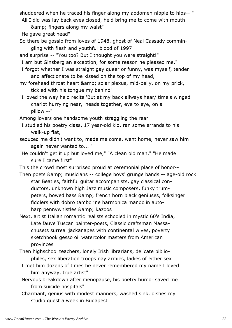shuddered when he traced his finger along my abdomen nipple to hips-- "

"All I did was lay back eyes closed, he'd bring me to come with mouth & amp; fingers along my waist"

"He gave great head"

So there be gossip from loves of 1948, ghost of Neal Cassady commin gling with flesh and youthful blood of 1997

and surprise -- "You too? But I thought you were straight!"

- "I am but Ginsberg an exception, for some reason he pleased me."
- "I forgot whether I was straight gay queer or funny, was myself, tender and affectionate to be kissed on the top of my head,
- my forehead throat heart & amp; solar plexus, mid-belly. on my prick, tickled with his tongue my behind"
- "I loved the way he'd recite 'But at my back allways hear/ time's winged chariot hurrying near,' heads together, eye to eye, on a pillow --"

Among lovers one handsome youth straggling the rear

"I studied his poetry class, 17 year-old kid, ran some errands to his walk-up flat,

seduced me didn't want to, made me come, went home, never saw him again never wanted to... "

- "He couldn't get it up but loved me," "A clean old man." "He made sure I came first"
- This the crowd most surprised proud at ceremonial place of honor--
- Then poets & amp; musicians -- college boys' grunge bands -- age-old rock star Beatles, faithful guitar accompanists, gay classical con ductors, unknown high Jazz music composers, funky trum peters, bowed bass & amp; french horn black geniuses, folksinger fiddlers with dobro tamborine harmonica mandolin auto harp pennywhistles & amp; kazoos
- Next, artist Italian romantic realists schooled in mystic 60's India, Late fauve Tuscan painter-poets, Classic draftsman Massa chusets surreal jackanapes with continental wives, poverty sketchbook gesso oil watercolor masters from American provinces
- Then highschool teachers, lonely Irish librarians, delicate biblio philes, sex liberation troops nay armies, ladies of either sex
- "I met him dozens of times he never remembered my name I loved him anyway, true artist"
- "Nervous breakdown after menopause, his poetry humor saved me from suicide hospitals"
- "Charmant, genius with modest manners, washed sink, dishes my studio guest a week in Budapest"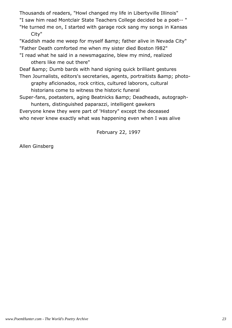Thousands of readers, "Howl changed my life in Libertyville Illinois"

"I saw him read Montclair State Teachers College decided be a poet-- "

"He turned me on, I started with garage rock sang my songs in Kansas City"

"Kaddish made me weep for myself & amp; father alive in Nevada City" "Father Death comforted me when my sister died Boston l982"

"I read what he said in a newsmagazine, blew my mind, realized others like me out there"

Deaf & amp; Dumb bards with hand signing quick brilliant gestures

- Then Journalists, editors's secretaries, agents, portraitists & amp; photo graphy aficionados, rock critics, cultured laborors, cultural historians come to witness the historic funeral
- Super-fans, poetasters, aging Beatnicks & amp; Deadheads, autographhunters, distinguished paparazzi, intelligent gawkers

Everyone knew they were part of 'History" except the deceased who never knew exactly what was happening even when I was alive

February 22, 1997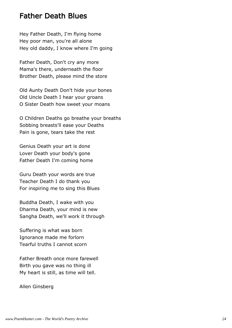#### Father Death Blues

Hey Father Death, I'm flying home Hey poor man, you're all alone Hey old daddy, I know where I'm going

Father Death, Don't cry any more Mama's there, underneath the floor Brother Death, please mind the store

Old Aunty Death Don't hide your bones Old Uncle Death I hear your groans O Sister Death how sweet your moans

O Children Deaths go breathe your breaths Sobbing breasts'll ease your Deaths Pain is gone, tears take the rest

Genius Death your art is done Lover Death your body's gone Father Death I'm coming home

Guru Death your words are true Teacher Death I do thank you For inspiring me to sing this Blues

Buddha Death, I wake with you Dharma Death, your mind is new Sangha Death, we'll work it through

Suffering is what was born Ignorance made me forlorn Tearful truths I cannot scorn

Father Breath once more farewell Birth you gave was no thing ill My heart is still, as time will tell.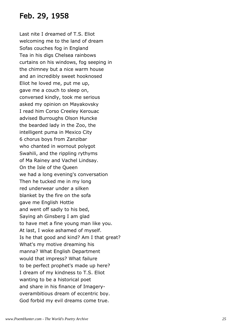#### Feb. 29, 1958

Last nite I dreamed of T.S. Eliot welcoming me to the land of dream Sofas couches fog in England Tea in his digs Chelsea rainbows curtains on his windows, fog seeping in the chimney but a nice warm house and an incredibly sweet hooknosed Eliot he loved me, put me up, gave me a couch to sleep on, conversed kindly, took me serious asked my opinion on Mayakovsky I read him Corso Creeley Kerouac advised Burroughs Olson Huncke the bearded lady in the Zoo, the intelligent puma in Mexico City 6 chorus boys from Zanzibar who chanted in wornout polygot Swahili, and the rippling rythyms of Ma Rainey and Vachel Lindsay. On the Isle of the Queen we had a long evening's conversation Then he tucked me in my long red underwear under a silken blanket by the fire on the sofa gave me English Hottie and went off sadly to his bed, Saying ah Ginsberg I am glad to have met a fine young man like you. At last, I woke ashamed of myself. Is he that good and kind? Am I that great? What's my motive dreaming his manna? What English Department would that impress? What failure to be perfect prophet's made up here? I dream of my kindness to T.S. Eliot wanting to be a historical poet and share in his finance of Imageryoverambitious dream of eccentric boy. God forbid my evil dreams come true.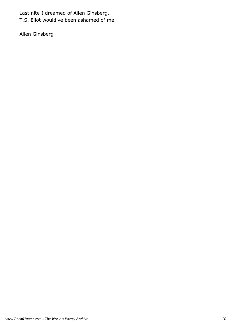Last nite I dreamed of Allen Ginsberg. T.S. Eliot would've been ashamed of me.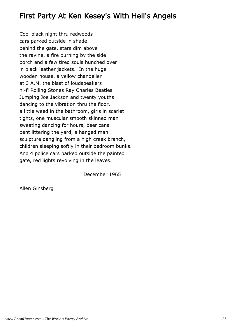# First Party At Ken Kesey's With Hell's Angels

Cool black night thru redwoods cars parked outside in shade behind the gate, stars dim above the ravine, a fire burning by the side porch and a few tired souls hunched over in black leather jackets. In the huge wooden house, a yellow chandelier at 3 A.M. the blast of loudspeakers hi-fi Rolling Stones Ray Charles Beatles Jumping Joe Jackson and twenty youths dancing to the vibration thru the floor, a little weed in the bathroom, girls in scarlet tights, one muscular smooth skinned man sweating dancing for hours, beer cans bent littering the yard, a hanged man sculpture dangling from a high creek branch, children sleeping softly in their bedroom bunks. And 4 police cars parked outside the painted gate, red lights revolving in the leaves.

December 1965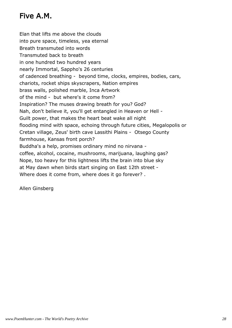# Five A.M.

Elan that lifts me above the clouds into pure space, timeless, yea eternal Breath transmuted into words Transmuted back to breath in one hundred two hundred years nearly Immortal, Sappho's 26 centuries of cadenced breathing - beyond time, clocks, empires, bodies, cars, chariots, rocket ships skyscrapers, Nation empires brass walls, polished marble, Inca Artwork of the mind - but where's it come from? Inspiration? The muses drawing breath for you? God? Nah, don't believe it, you'll get entangled in Heaven or Hell - Guilt power, that makes the heart beat wake all night flooding mind with space, echoing through future cities, Megalopolis or Cretan village, Zeus' birth cave Lassithi Plains - Otsego County farmhouse, Kansas front porch? Buddha's a help, promises ordinary mind no nirvana coffee, alcohol, cocaine, mushrooms, marijuana, laughing gas? Nope, too heavy for this lightness lifts the brain into blue sky at May dawn when birds start singing on East 12th street - Where does it come from, where does it go forever? .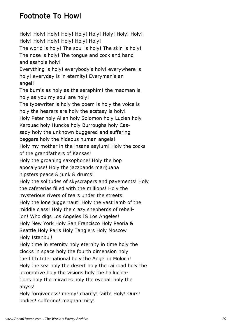# Footnote To Howl

Holy! Holy! Holy! Holy! Holy! Holy! Holy! Holy! Holy! Holy! Holy! Holy! Holy! Holy! Holy! The world is holy! The soul is holy! The skin is holy! The nose is holy! The tongue and cock and hand and asshole holy! Everything is holy! everybody's holy! everywhere is holy! everyday is in eternity! Everyman's an angel! The bum's as holy as the seraphim! the madman is holy as you my soul are holy! The typewriter is holy the poem is holy the voice is holy the hearers are holy the ecstasy is holy! Holy Peter holy Allen holy Solomon holy Lucien holy Kerouac holy Huncke holy Burroughs holy Cassady holy the unknown buggered and suffering beggars holy the hideous human angels! Holy my mother in the insane asylum! Holy the cocks of the grandfathers of Kansas! Holy the groaning saxophone! Holy the bop apocalypse! Holy the jazzbands marijuana hipsters peace & junk & drums! Holy the solitudes of skyscrapers and pavements! Holy the cafeterias filled with the millions! Holy the mysterious rivers of tears under the streets! Holy the lone juggernaut! Holy the vast lamb of the middle class! Holy the crazy shepherds of rebellion! Who digs Los Angeles IS Los Angeles! Holy New York Holy San Francisco Holy Peoria & Seattle Holy Paris Holy Tangiers Holy Moscow Holy Istanbul! Holy time in eternity holy eternity in time holy the clocks in space holy the fourth dimension holy the fifth International holy the Angel in Moloch! Holy the sea holy the desert holy the railroad holy the locomotive holy the visions holy the hallucinations holy the miracles holy the eyeball holy the abyss! Holy forgiveness! mercy! charity! faith! Holy! Ours! bodies! suffering! magnanimity!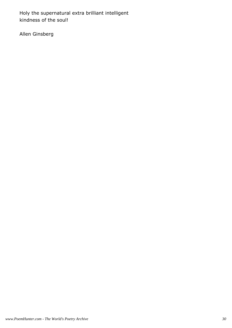Holy the supernatural extra brilliant intelligent kindness of the soul!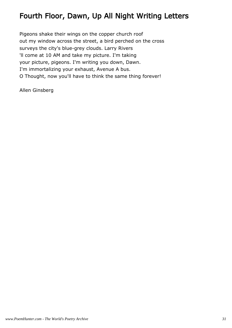# Fourth Floor, Dawn, Up All Night Writing Letters

Pigeons shake their wings on the copper church roof out my window across the street, a bird perched on the cross surveys the city's blue-grey clouds. Larry Rivers 'll come at 10 AM and take my picture. I'm taking your picture, pigeons. I'm writing you down, Dawn. I'm immortalizing your exhaust, Avenue A bus. O Thought, now you'll have to think the same thing forever!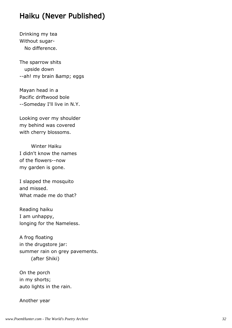# Haiku (Never Published)

Drinking my tea Without sugar- No difference.

The sparrow shits upside down --ah! my brain & amp; eggs

Mayan head in a Pacific driftwood bole --Someday I'll live in N.Y.

Looking over my shoulder my behind was covered with cherry blossoms.

 Winter Haiku I didn't know the names of the flowers--now my garden is gone.

I slapped the mosquito and missed. What made me do that?

Reading haiku I am unhappy, longing for the Nameless.

A frog floating in the drugstore jar: summer rain on grey pavements. (after Shiki)

On the porch in my shorts; auto lights in the rain.

Another year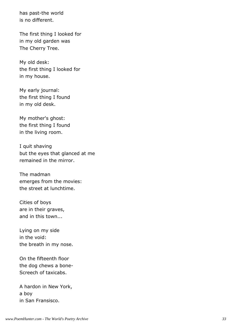has past-the world is no different.

The first thing I looked for in my old garden was The Cherry Tree.

My old desk: the first thing I looked for in my house.

My early journal: the first thing I found in my old desk.

My mother's ghost: the first thing I found in the living room.

I quit shaving but the eyes that glanced at me remained in the mirror.

The madman emerges from the movies: the street at lunchtime.

Cities of boys are in their graves, and in this town...

Lying on my side in the void: the breath in my nose.

On the fifteenth floor the dog chews a bone-Screech of taxicabs.

A hardon in New York, a boy in San Fransisco.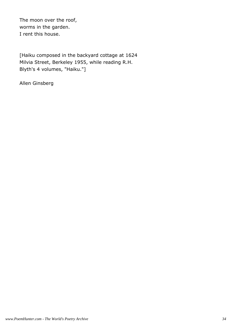The moon over the roof, worms in the garden. I rent this house.

[Haiku composed in the backyard cottage at 1624 Milvia Street, Berkeley 1955, while reading R.H. Blyth's 4 volumes, "Haiku."]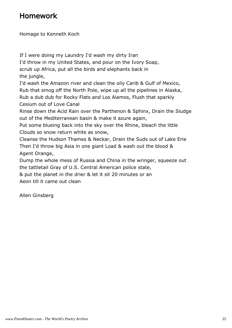# Homework

Homage to Kenneth Koch

If I were doing my Laundry I'd wash my dirty Iran I'd throw in my United States, and pour on the Ivory Soap, scrub up Africa, put all the birds and elephants back in the jungle, I'd wash the Amazon river and clean the oily Carib & Gulf of Mexico, Rub that smog off the North Pole, wipe up all the pipelines in Alaska, Rub a dub dub for Rocky Flats and Los Alamos, Flush that sparkly Cesium out of Love Canal Rinse down the Acid Rain over the Parthenon & Sphinx, Drain the Sludge out of the Mediterranean basin & make it azure again, Put some blueing back into the sky over the Rhine, bleach the little Clouds so snow return white as snow, Cleanse the Hudson Thames & Neckar, Drain the Suds out of Lake Erie Then I'd throw big Asia in one giant Load & wash out the blood & Agent Orange, Dump the whole mess of Russia and China in the wringer, squeeze out the tattletail Gray of U.S. Central American police state, & put the planet in the drier & let it sit 20 minutes or an Aeon till it came out clean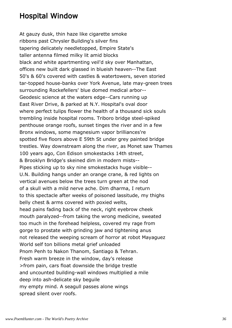### Hospital Window

At gauzy dusk, thin haze like cigarette smoke ribbons past Chrysler Building's silver fins tapering delicately needletopped, Empire State's taller antenna filmed milky lit amid blocks black and white apartmenting veil'd sky over Manhattan, offices new built dark glassed in blueish heaven--The East 50's & 60's covered with castles & watertowers, seven storied tar-topped house-banks over York Avenue, late may-green trees surrounding Rockefellers' blue domed medical arbor-- Geodesic science at the waters edge--Cars running up East River Drive, & parked at N.Y. Hospital's oval door where perfect tulips flower the health of a thousand sick souls trembling inside hospital rooms. Triboro bridge steel-spiked penthouse orange roofs, sunset tinges the river and in a few Bronx windows, some magnesium vapor brilliances're spotted five floors above E 59th St under grey painted bridge trestles. Way downstream along the river, as Monet saw Thames 100 years ago, Con Edison smokestacks 14th street, & Brooklyn Bridge's skeined dim in modern mists-- Pipes sticking up to sky nine smokestacks huge visible-- U.N. Building hangs under an orange crane, & red lights on vertical avenues below the trees turn green at the nod of a skull with a mild nerve ache. Dim dharma, I return to this spectacle after weeks of poisoned lassitude, my thighs belly chest & arms covered with poxied welts, head pains fading back of the neck, right eyebrow cheek mouth paralyzed--from taking the wrong medicine, sweated too much in the forehead helpless, covered my rage from gorge to prostate with grinding jaw and tightening anus not released the weeping scream of horror at robot Mayaguez World self ton billions metal grief unloaded Pnom Penh to Nakon Thanom, Santiago & Tehran. Fresh warm breeze in the window, day's release >from pain, cars float downside the bridge trestle and uncounted building-wall windows multiplied a mile deep into ash-delicate sky beguile my empty mind. A seagull passes alone wings spread silent over roofs.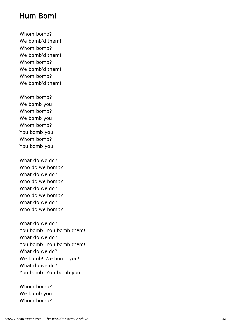### Hum Bom!

Whom bomb? We bomb'd them! Whom bomb? We bomb'd them! Whom bomb? We bomb'd them! Whom bomb? We bomb'd them!

Whom bomb? We bomb you! Whom bomb? We bomb you! Whom bomb? You bomb you! Whom bomb? You bomb you!

What do we do? Who do we bomb? What do we do? Who do we bomb? What do we do? Who do we bomb? What do we do? Who do we bomb?

What do we do? You bomb! You bomb them! What do we do? You bomb! You bomb them! What do we do? We bomb! We bomb you! What do we do? You bomb! You bomb you!

Whom bomb? We bomb you! Whom bomb?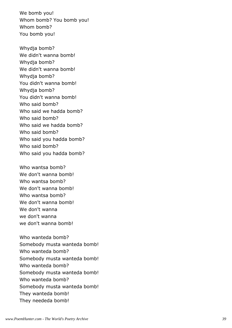We bomb you! Whom bomb? You bomb you! Whom bomb? You bomb you!

Whydja bomb? We didn't wanna bomb! Whydja bomb? We didn't wanna bomb! Whydja bomb? You didn't wanna bomb! Whydja bomb? You didn't wanna bomb! Who said bomb? Who said we hadda bomb? Who said bomb? Who said we hadda bomb? Who said bomb? Who said you hadda bomb? Who said bomb? Who said you hadda bomb?

Who wantsa bomb? We don't wanna bomb! Who wantsa bomb? We don't wanna bomb! Who wantsa bomb? We don't wanna bomb! We don't wanna we don't wanna we don't wanna bomb!

Who wanteda bomb? Somebody musta wanteda bomb! Who wanteda bomb? Somebody musta wanteda bomb! Who wanteda bomb? Somebody musta wanteda bomb! Who wanteda bomb? Somebody musta wanteda bomb! They wanteda bomb! They neededa bomb!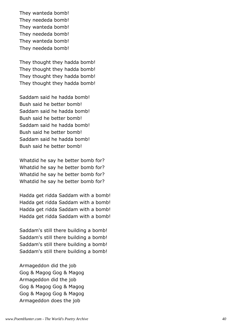They wanteda bomb! They neededa bomb! They wanteda bomb! They neededa bomb! They wanteda bomb! They neededa bomb!

They thought they hadda bomb! They thought they hadda bomb! They thought they hadda bomb! They thought they hadda bomb!

Saddam said he hadda bomb! Bush said he better bomb! Saddam said he hadda bomb! Bush said he better bomb! Saddam said he hadda bomb! Bush said he better bomb! Saddam said he hadda bomb! Bush said he better bomb!

Whatdid he say he better bomb for? Whatdid he say he better bomb for? Whatdid he say he better bomb for? Whatdid he say he better bomb for?

Hadda get ridda Saddam with a bomb! Hadda get ridda Saddam with a bomb! Hadda get ridda Saddam with a bomb! Hadda get ridda Saddam with a bomb!

Saddam's still there building a bomb! Saddam's still there building a bomb! Saddam's still there building a bomb! Saddam's still there building a bomb!

Armageddon did the job Gog & Magog Gog & Magog Armageddon did the job Gog & Magog Gog & Magog Gog & Magog Gog & Magog Armageddon does the job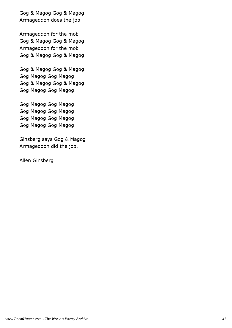Gog & Magog Gog & Magog Armageddon does the job

Armageddon for the mob Gog & Magog Gog & Magog Armageddon for the mob Gog & Magog Gog & Magog

Gog & Magog Gog & Magog Gog Magog Gog Magog Gog & Magog Gog & Magog Gog Magog Gog Magog

Gog Magog Gog Magog Gog Magog Gog Magog Gog Magog Gog Magog Gog Magog Gog Magog

Ginsberg says Gog & Magog Armageddon did the job.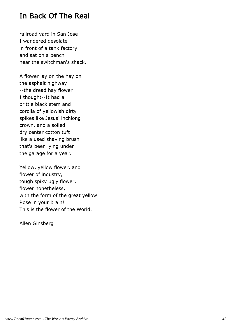### In Back Of The Real

railroad yard in San Jose I wandered desolate in front of a tank factory and sat on a bench near the switchman's shack.

A flower lay on the hay on the asphalt highway --the dread hay flower I thought--It had a brittle black stem and corolla of yellowish dirty spikes like Jesus' inchlong crown, and a soiled dry center cotton tuft like a used shaving brush that's been lying under the garage for a year.

Yellow, yellow flower, and flower of industry, tough spiky ugly flower, flower nonetheless, with the form of the great yellow Rose in your brain! This is the flower of the World.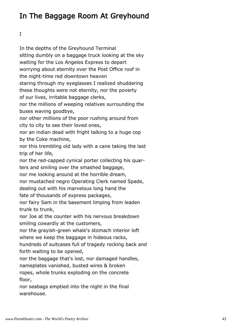# In The Baggage Room At Greyhound

#### I

In the depths of the Greyhound Terminal sitting dumbly on a baggage truck looking at the sky waiting for the Los Angeles Express to depart worrying about eternity over the Post Office roof in the night-time red downtown heaven staring through my eyeglasses I realized shuddering these thoughts were not eternity, nor the poverty of our lives, irritable baggage clerks, nor the millions of weeping relatives surrounding the buses waving goodbye, nor other millions of the poor rushing around from city to city to see their loved ones, nor an indian dead with fright talking to a huge cop by the Coke machine, nor this trembling old lady with a cane taking the last trip of her life, nor the red-capped cynical porter collecting his quarters and smiling over the smashed baggage, nor me looking around at the horrible dream, nor mustached negro Operating Clerk named Spade, dealing out with his marvelous long hand the fate of thousands of express packages, nor fairy Sam in the basement limping from leaden trunk to trunk, nor Joe at the counter with his nervous breakdown smiling cowardly at the customers, nor the grayish-green whale's stomach interior loft where we keep the baggage in hideous racks, hundreds of suitcases full of tragedy rocking back and forth waiting to be opened, nor the baggage that's lost, nor damaged handles, nameplates vanished, busted wires & broken ropes, whole trunks exploding on the concrete floor, nor seabags emptied into the night in the final warehouse.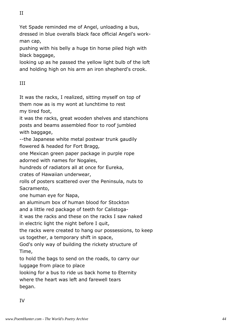II

Yet Spade reminded me of Angel, unloading a bus, dressed in blue overalls black face official Angel's workman cap,

pushing with his belly a huge tin horse piled high with black baggage,

looking up as he passed the yellow light bulb of the loft and holding high on his arm an iron shepherd's crook.

#### III

It was the racks, I realized, sitting myself on top of them now as is my wont at lunchtime to rest my tired foot,

it was the racks, great wooden shelves and stanchions posts and beams assembled floor to roof jumbled with baggage,

--the Japanese white metal postwar trunk gaudily flowered & headed for Fort Bragg,

one Mexican green paper package in purple rope adorned with names for Nogales,

hundreds of radiators all at once for Eureka,

crates of Hawaiian underwear,

rolls of posters scattered over the Peninsula, nuts to Sacramento,

one human eye for Napa,

an aluminum box of human blood for Stockton

and a little red package of teeth for Calistoga-

it was the racks and these on the racks I saw naked

in electric light the night before I quit,

the racks were created to hang our possessions, to keep us together, a temporary shift in space,

God's only way of building the rickety structure of Time,

to hold the bags to send on the roads, to carry our luggage from place to place

looking for a bus to ride us back home to Eternity

where the heart was left and farewell tears began.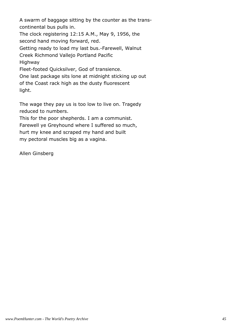A swarm of baggage sitting by the counter as the transcontinental bus pulls in. The clock registering 12:15 A.M., May 9, 1956, the second hand moving forward, red. Getting ready to load my last bus.-Farewell, Walnut Creek Richmond Vallejo Portland Pacific Highway Fleet-footed Quicksilver, God of transience. One last package sits lone at midnight sticking up out of the Coast rack high as the dusty fluorescent

The wage they pay us is too low to live on. Tragedy reduced to numbers.

This for the poor shepherds. I am a communist.

Farewell ye Greyhound where I suffered so much,

hurt my knee and scraped my hand and built

my pectoral muscles big as a vagina.

Allen Ginsberg

light.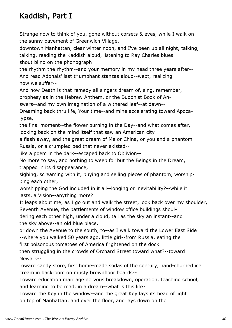# Kaddish, Part I

Strange now to think of you, gone without corsets & eyes, while I walk on the sunny pavement of Greenwich Village.

downtown Manhattan, clear winter noon, and I've been up all night, talking, talking, reading the Kaddish aloud, listening to Ray Charles blues shout blind on the phonograph

the rhythm the rhythm--and your memory in my head three years after-- And read Adonais' last triumphant stanzas aloud--wept, realizing how we suffer--

And how Death is that remedy all singers dream of, sing, remember,

prophesy as in the Hebrew Anthem, or the Buddhist Book of An-

swers--and my own imagination of a withered leaf--at dawn--

Dreaming back thru life, Your time--and mine accelerating toward Apocalypse,

the final moment--the flower burning in the Day--and what comes after, looking back on the mind itself that saw an American city

a flash away, and the great dream of Me or China, or you and a phantom Russia, or a crumpled bed that never existed--

like a poem in the dark--escaped back to Oblivion--

No more to say, and nothing to weep for but the Beings in the Dream, trapped in its disappearance,

sighing, screaming with it, buying and selling pieces of phantom, worshipping each other,

worshipping the God included in it all--longing or inevitability?--while it lasts, a Vision--anything more?

It leaps about me, as I go out and walk the street, look back over my shoulder, Seventh Avenue, the battlements of window office buildings shoul-

dering each other high, under a cloud, tall as the sky an instant--and the sky above--an old blue place.

or down the Avenue to the south, to--as I walk toward the Lower East Side --where you walked 50 years ago, little girl--from Russia, eating the first poisonous tomatoes of America frightened on the dock

then struggling in the crowds of Orchard Street toward what?--toward Newark--

toward candy store, first home-made sodas of the century, hand-churned ice cream in backroom on musty brownfloor boards--

Toward education marriage nervous breakdown, operation, teaching school, and learning to be mad, in a dream--what is this life?

Toward the Key in the window--and the great Key lays its head of light on top of Manhattan, and over the floor, and lays down on the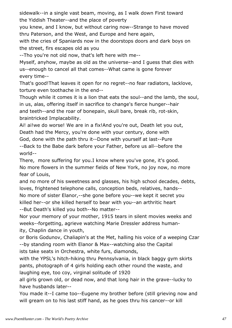sidewalk--in a single vast beam, moving, as I walk down First toward the Yiddish Theater--and the place of poverty

you knew, and I know, but without caring now--Strange to have moved thru Paterson, and the West, and Europe and here again,

with the cries of Spaniards now in the doorstops doors and dark boys on the street, firs escapes old as you

--Tho you're not old now, that's left here with me--

Myself, anyhow, maybe as old as the universe--and I guess that dies with us--enough to cancel all that comes--What came is gone forever every time--

That's good!That leaves it open for no regret--no fear radiators, lacklove, torture even toothache in the end--

Though while it comes it is a lion that eats the soul--and the lamb, the soul, in us, alas, offering itself in sacrifice to change's fierce hunger--hair and teeth--and the roar of bonepain, skull bare, break rib, rot-skin, braintricked Implacability.

Ai! ai!we do worse! We are in a fix!And you're out, Death let you out, Death had the Mercy, you're done with your century, done with God, done with the path thru it--Done with yourself at last--Pure --Back to the Babe dark before your Father, before us all--before the world--

There, more suffering for you.I know where you've gone, it's good. No more flowers in the summer fields of New York, no joy now, no more fear of Louis,

and no more of his sweetness and glasses, his high school decades, debts, loves, frightened telephone calls, conception beds, relatives, hands-- No more of sister Elanor,--she gone before you--we kept it secret you killed her--or she killed herself to bear with you--an arthritic heart --But Death's killed you both--No matter--

Nor your memory of your mother, 1915 tears in silent movies weeks and weeks--forgetting, agrieve watching Marie Dressler address humanity, Chaplin dance in youth,

or Boris Godunov, Chaliapin's at the Met, halling his voice of a weeping Czar --by standing room with Elanor & Max--watching also the Capital ists take seats in Orchestra, white furs, diamonds,

with the YPSL's hitch-hiking thru Pennsylvania, in black baggy gym skirts pants, photograph of 4 girls holding each other round the waste, and laughing eye, too coy, virginal solitude of 1920

all girls grown old, or dead now, and that long hair in the grave--lucky to have husbands later--

You made it--I came too--Eugene my brother before (still grieving now and will gream on to his last stiff hand, as he goes thru his cancer--or kill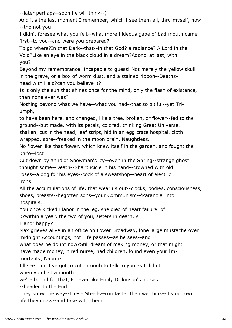--later perhaps--soon he will think--)

And it's the last moment I remember, which I see them all, thru myself, now --tho not you

I didn't foresee what you felt--what more hideous gape of bad mouth came first--to you--and were you prepared?

To go where?In that Dark--that--in that God? a radiance? A Lord in the Void?Like an eye in the black cloud in a dream?Adonoi at last, with you?

Beyond my remembrance! Incapable to guess! Not merely the yellow skull in the grave, or a box of worm dust, and a stained ribbon--Deathshead with Halo?can you believe it?

Is it only the sun that shines once for the mind, only the flash of existence, than none ever was?

Nothing beyond what we have--what you had--that so pitiful--yet Triumph,

to have been here, and changed, like a tree, broken, or flower--fed to the ground--but made, with its petals, colored, thinking Great Universe, shaken, cut in the head, leaf stript, hid in an egg crate hospital, cloth wrapped, sore--freaked in the moon brain, Naughtless.

No flower like that flower, which knew itself in the garden, and fought the knife--lost

Cut down by an idiot Snowman's icy--even in the Spring--strange ghost thought some--Death--Sharp icicle in his hand--crowned with old roses--a dog for his eyes--cock of a sweatshop--heart of electric irons.

All the accumulations of life, that wear us out--clocks, bodies, consciousness, shoes, breasts--begotten sons--your Communism--'Paranoia' into hospitals.

You once kicked Elanor in the leg, she died of heart failure of

p?within a year, the two of you, sisters in death.Is

Elanor happy?

Max grieves alive in an office on Lower Broadway, lone large mustache over midnight Accountings, not life passes--as he sees--and

what does he doubt now?Still dream of making money, or that might have made money, hired nurse, had children, found even your Immortality, Naomi?

I'll see him I've got to cut through to talk to you as I didn't when you had a mouth.

we're bound for that, Forever like Emily Dickinson's horses --headed to the End.

They know the way--These Steeds--run faster than we think--it's our own life they cross--and take with them.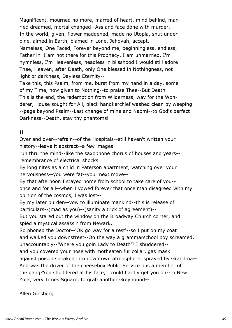Magnificent, mourned no more, marred of heart, mind behind, married dreamed, mortal changed--Ass and face done with murder. In the world, given, flower maddened, made no Utopia, shut under pine, almed in Earth, blamed in Lone, Jehovah, accept. Nameless, One Faced, Forever beyond me, beginningless, endless, Father in I am not there for this Prophecy, I am unmarried, I'm hymnless, I'm Heavenless, headless in blisshood I would still adore Thee, Heaven, after Death, only One blessed in Nothingness, not light or darkness, Dayless Eternity--

Take this, this Psalm, from me, burst from my hand in a day, some of my Time, now given to Nothing--to praise Thee--But Death This is the end, the redemption from Wilderness, way for the Wonderer, House sought for All, black handkerchief washed clean by weeping --page beyond Psalm--Last change of mine and Naomi--to God's perfect Darkness--Death, stay thy phantoms!

#### II

Over and over--refrain--of the Hospitals--still haven't written your history--leave it abstract--a few images

run thru the mind--like the saxophone chorus of houses and years- remembrance of electrical shocks.

By long nites as a child in Paterson apartment, watching over your nervousness--you were fat--your next move--

By that afternoon I stayed home from school to take care of you- once and for all--when I vowed forever that once man disagreed with my opinion of the cosmos, I was lost--

By my later burden--vow to illuminate mankind--this is release of particulars--(mad as you)--(sanity a trick of agreement)--

But you stared out the window on the Broadway Church corner, and spied a mystical assassin from Newark,

So phoned the Doctor--'OK go way for a rest'--so I put on my coat and walked you downstreet--On the way a grammarschool boy screamed, unaccountably--'Where you goin Lady to Death'? I shuddered- and you covered your nose with motheaten fur collar, gas mask against poison sneaked into downtown atmosphere, sprayed by Grandma-- And was the driver of the cheesebox Public Service bus a member of the gang?You shuddered at his face, I could hardly get you on--to New York, very Times Square, to grab another Greyhound--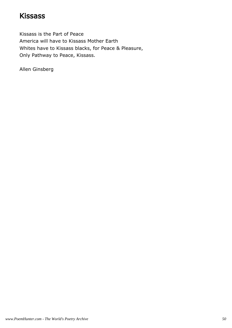### Kissass

Kissass is the Part of Peace America will have to Kissass Mother Earth Whites have to Kissass blacks, for Peace & Pleasure, Only Pathway to Peace, Kissass.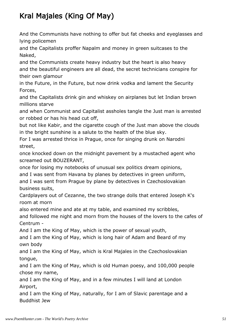# Kral Majales (King Of May)

And the Communists have nothing to offer but fat cheeks and eyeglasses and lying policemen

and the Capitalists proffer Napalm and money in green suitcases to the Naked,

and the Communists create heavy industry but the heart is also heavy and the beautiful engineers are all dead, the secret technicians conspire for their own glamour

in the Future, in the Future, but now drink vodka and lament the Security Forces,

and the Capitalists drink gin and whiskey on airplanes but let Indian brown millions starve

and when Communist and Capitalist assholes tangle the Just man is arrested or robbed or has his head cut off,

but not like Kabir, and the cigarette cough of the Just man above the clouds in the bright sunshine is a salute to the health of the blue sky.

For I was arrested thrice in Prague, once for singing drunk on Narodni street,

once knocked down on the midnight pavement by a mustached agent who screamed out BOUZERANT,

once for losing my notebooks of unusual sex politics dream opinions, and I was sent from Havana by planes by detectives in green uniform,

and I was sent from Prague by plane by detectives in Czechoslovakian business suits,

Cardplayers out of Cezanne, the two strange dolls that entered Joseph K's room at morn

also entered mine and ate at my table, and examined my scribbles,

and followed me night and morn from the houses of the lovers to the cafes of Centrum -

And I am the King of May, which is the power of sexual youth,

and I am the King of May, which is long hair of Adam and Beard of my own body

and I am the King of May, which is Kral Majales in the Czechoslovakian tongue,

and I am the King of May, which is old Human poesy, and 100,000 people chose my name,

and I am the King of May, and in a few minutes I will land at London Airport,

and I am the King of May, naturally, for I am of Slavic parentage and a Buddhist Jew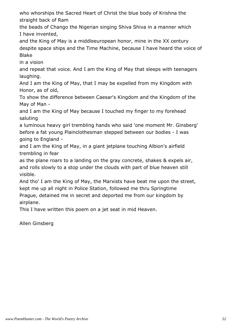who whorships the Sacred Heart of Christ the blue body of Krishna the straight back of Ram

the beads of Chango the Nigerian singing Shiva Shiva in a manner which I have invented,

and the King of May is a middleeuropean honor, mine in the XX century despite space ships and the Time Machine, because I have heard the voice of Blake

in a vision

and repeat that voice. And I am the King of May that sleeps with teenagers laughing.

And I am the King of May, that I may be expelled from my Kingdom with Honor, as of old,

To show the difference between Caesar's Kingdom and the Kingdom of the May of Man -

and I am the King of May because I touched my finger to my forehead saluting

a luminous heavy girl trembling hands who said 'one moment Mr. Ginsberg' before a fat young Plainclothesman stepped between our bodies - I was going to England -

and I am the King of May, in a giant jetplane touching Albion's airfield trembling in fear

as the plane roars to a landing on the gray concrete, shakes & expels air, and rolls slowly to a stop under the clouds with part of blue heaven still visible.

And tho' I am the King of May, the Marxists have beat me upon the street, kept me up all night in Police Station, followed me thru Springtime Prague, detained me in secret and deported me from our kingdom by airplane.

This I have written this poem on a jet seat in mid Heaven.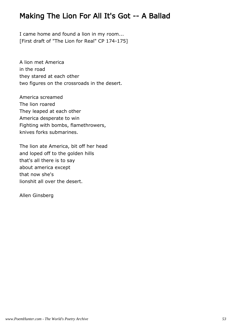## Making The Lion For All It's Got -- A Ballad

I came home and found a lion in my room... [First draft of "The Lion for Real" CP 174-175]

A lion met America in the road they stared at each other two figures on the crossroads in the desert.

America screamed The lion roared They leaped at each other America desperate to win Fighting with bombs, flamethrowers, knives forks submarines.

The lion ate America, bit off her head and loped off to the golden hills that's all there is to say about america except that now she's lionshit all over the desert.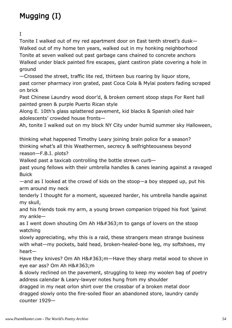# Mugging (I)

I

Tonite I walked out of my red apartment door on East tenth street's dusk— Walked out of my home ten years, walked out in my honking neighborhood Tonite at seven walked out past garbage cans chained to concrete anchors Walked under black painted fire escapes, giant castiron plate covering a hole in ground

—Crossed the street, traffic lite red, thirteen bus roaring by liquor store, past corner pharmacy iron grated, past Coca Cola & Mylai posters fading scraped on brick

Past Chinese Laundry wood door'd, & broken cement stoop steps For Rent hall painted green & purple Puerto Rican style

Along E. 10th's glass splattered pavement, kid blacks & Spanish oiled hair adolescents' crowded house fronts—

Ah, tonite I walked out on my block NY City under humid summer sky Halloween,

thinking what happened Timothy Leary joining brain police for a season? thinking what's all this Weathermen, secrecy & selfrighteousness beyond reason—F.B.I. plots?

Walked past a taxicab controlling the bottle strewn curb—

past young fellows with their umbrella handles & canes leaning against a ravaged Buick

—and as I looked at the crowd of kids on the stoop—a boy stepped up, put his arm around my neck

tenderly I thought for a moment, squeezed harder, his umbrella handle against my skull,

and his friends took my arm, a young brown companion tripped his foot 'gainst my ankle—

as I went down shouting Om Ah  $Hū$ ; m to gangs of lovers on the stoop watching

slowly appreciating, why this is a raid, these strangers mean strange business with what—my pockets, bald head, broken-healed-bone leg, my softshoes, my heart—

Have they knives? Om Ah  $Hū$ ; m-Have they sharp metal wood to shove in eye ear ass? Om Ah  $Hū m$ 

& slowly reclined on the pavement, struggling to keep my woolen bag of poetry address calendar & Leary-lawyer notes hung from my shoulder

dragged in my neat orlon shirt over the crossbar of a broken metal door dragged slowly onto the fire-soiled floor an abandoned store, laundry candy counter 1929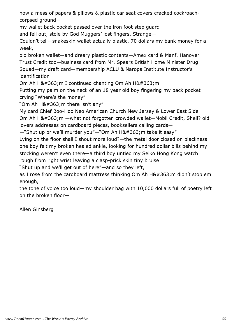now a mess of papers & pillows & plastic car seat covers cracked cockroachcorpsed ground—

my wallet back pocket passed over the iron foot step guard

and fell out, stole by God Muggers' lost fingers, Strange—

Couldn't tell—snakeskin wallet actually plastic, 70 dollars my bank money for a week,

old broken wallet—and dreary plastic contents—Amex card & Manf. Hanover Trust Credit too—business card from Mr. Spears British Home Minister Drug Squad—my draft card—membership ACLU & Naropa Institute Instructor's identification

Om Ah  $Hū$ ; m I continued chanting Om Ah  $Hū$ ; m

Putting my palm on the neck of an 18 year old boy fingering my back pocket crying "Where's the money"

"Om Ah Hū m there isn't any"

My card Chief Boo-Hoo Neo American Church New Jersey & Lower East Side Om Ah Hūm —what not forgotten crowded wallet—Mobil Credit, Shell? old lovers addresses on cardboard pieces, booksellers calling cards—

-"Shut up or we'll murder you"-"Om Ah Hūm take it easy"

Lying on the floor shall I shout more loud?—the metal door closed on blackness one boy felt my broken healed ankle, looking for hundred dollar bills behind my stocking weren't even there—a third boy untied my Seiko Hong Kong watch rough from right wrist leaving a clasp-prick skin tiny bruise

"Shut up and we'll get out of here"—and so they left,

as I rose from the cardboard mattress thinking Om Ah Hūm didn't stop em enough,

the tone of voice too loud—my shoulder bag with 10,000 dollars full of poetry left on the broken floor—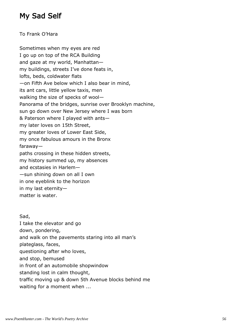## My Sad Self

To Frank O'Hara

Sometimes when my eyes are red I go up on top of the RCA Building and gaze at my world, Manhattan my buildings, streets I've done feats in, lofts, beds, coldwater flats —on Fifth Ave below which I also bear in mind, its ant cars, little yellow taxis, men walking the size of specks of wool— Panorama of the bridges, sunrise over Brooklyn machine, sun go down over New Jersey where I was born & Paterson where I played with ants my later loves on 15th Street, my greater loves of Lower East Side, my once fabulous amours in the Bronx faraway paths crossing in these hidden streets, my history summed up, my absences and ecstasies in Harlem— —sun shining down on all I own in one eyeblink to the horizon in my last eternity matter is water.

Sad, I take the elevator and go down, pondering, and walk on the pavements staring into all man's plateglass, faces, questioning after who loves, and stop, bemused in front of an automobile shopwindow standing lost in calm thought, traffic moving up & down 5th Avenue blocks behind me waiting for a moment when ...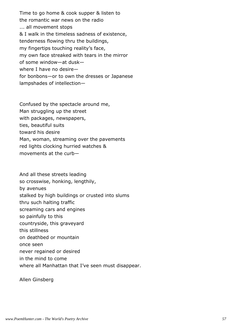Time to go home & cook supper & listen to the romantic war news on the radio ... all movement stops & I walk in the timeless sadness of existence, tenderness flowing thru the buildings, my fingertips touching reality's face, my own face streaked with tears in the mirror of some window—at dusk where I have no desire for bonbons—or to own the dresses or Japanese lampshades of intellection—

Confused by the spectacle around me, Man struggling up the street with packages, newspapers, ties, beautiful suits toward his desire Man, woman, streaming over the pavements red lights clocking hurried watches & movements at the curb—

And all these streets leading so crosswise, honking, lengthily, by avenues stalked by high buildings or crusted into slums thru such halting traffic screaming cars and engines so painfully to this countryside, this graveyard this stillness on deathbed or mountain once seen never regained or desired in the mind to come where all Manhattan that I've seen must disappear.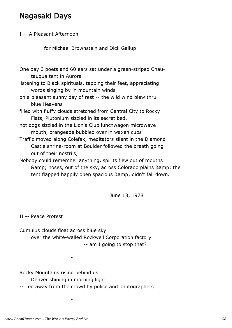## Nagasaki Days

#### I -- A Pleasant Afternoon

for Michael Brownstein and Dick Gallup

- One day 3 poets and 60 ears sat under a green-striped Chau tauqua tent in Aurora
- listening to Black spirituals, tapping their feet, appreciating words singing by in mountain winds
- on a pleasant sunny day of rest -- the wild wind blew thru blue Heavens
- filled with fluffy clouds stretched from Central City to Rocky Flats, Plutonium sizzled in its secret bed,
- hot dogs sizzled in the Lion's Club lunchwagon microwave mouth, orangeade bubbled over in waxen cups
- Traffic moved along Colefax, meditators silent in the Diamond Castle shrine-room at Boulder followed the breath going out of their nostrils,
- Nobody could remember anything, spirits flew out of mouths & amp; noses, out of the sky, across Colorado plains & amp; the tent flapped happily open spacious & amp; didn't fall down.

June 18, 1978

II -- Peace Protest

Cumulus clouds float across blue sky

 over the white-walled Rockwell Corporation factory -- am I going to stop that?

 $\star$ 

Rocky Mountains rising behind us

Denver shining in morning light

-- Led away from the crowd by police and photographers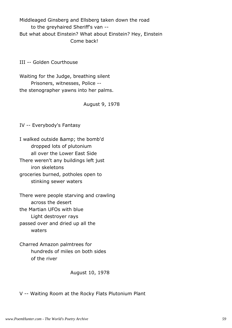Middleaged Ginsberg and Ellsberg taken down the road to the greyhaired Sheriff's van -- But what about Einstein? What about Einstein? Hey, Einstein Come back!

III -- Golden Courthouse

Waiting for the Judge, breathing silent Prisoners, witnesses, Police - the stenographer yawns into her palms.

August 9, 1978

IV -- Everybody's Fantasy

I walked outside & amp; the bomb'd dropped lots of plutonium all over the Lower East Side There weren't any buildings left just iron skeletons groceries burned, potholes open to stinking sewer waters

There were people starving and crawling across the desert the Martian UFOs with blue Light destroyer rays passed over and dried up all the waters

Charred Amazon palmtrees for hundreds of miles on both sides of the river

August 10, 1978

V -- Waiting Room at the Rocky Flats Plutonium Plant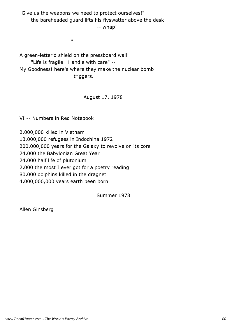"Give us the weapons we need to protect ourselves!" the bareheaded guard lifts his flyswatter above the desk -- whap!

A green-letter'd shield on the pressboard wall! "Life is fragile. Handle with care" -- My Goodness! here's where they make the nuclear bomb triggers.

August 17, 1978

VI -- Numbers in Red Notebook

 $\star$ 

2,000,000 killed in Vietnam 13,000,000 refugees in Indochina 1972 200,000,000 years for the Galaxy to revolve on its core 24,000 the Babylonian Great Year 24,000 half life of plutonium 2,000 the most I ever got for a poetry reading 80,000 dolphins killed in the dragnet 4,000,000,000 years earth been born

Summer 1978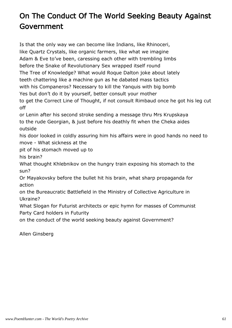# On The Conduct Of The World Seeking Beauty Against Government

Is that the only way we can become like Indians, like Rhinoceri, like Quartz Crystals, like organic farmers, like what we imagine Adam & Eve to've been, caressing each other with trembling limbs before the Snake of Revolutionary Sex wrapped itself round The Tree of Knowledge? What would Roque Dalton joke about lately teeth chattering like a machine gun as he dabated mass tactics with his Companeros? Necessary to kill the Yanquis with big bomb Yes but don't do it by yourself, better consult your mother to get the Correct Line of Thought, if not consult Rimbaud once he got his leg cut off

or Lenin after his second stroke sending a message thru Mrs Krupskaya to the rude Georgian, & just before his deathly fit when the Cheka aides outside

his door looked in coldly assuring him his affairs were in good hands no need to move - What sickness at the

pit of his stomach moved up to

his brain?

What thought Khlebnikov on the hungry train exposing his stomach to the sun?

Or Mayakovsky before the bullet hit his brain, what sharp propaganda for action

on the Bureaucratic Battlefield in the Ministry of Collective Agriculture in Ukraine?

What Slogan for Futurist architects or epic hymn for masses of Communist Party Card holders in Futurity

on the conduct of the world seeking beauty against Government?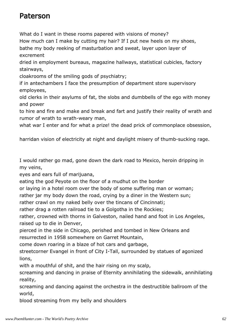## Paterson

What do I want in these rooms papered with visions of money?

How much can I make by cutting my hair? If I put new heels on my shoes,

bathe my body reeking of masturbation and sweat, layer upon layer of excrement

dried in employment bureaus, magazine hallways, statistical cubicles, factory stairways,

cloakrooms of the smiling gods of psychiatry;

if in antechambers I face the presumption of department store supervisory employees,

old clerks in their asylums of fat, the slobs and dumbbells of the ego with money and power

to hire and fire and make and break and fart and justify their reality of wrath and rumor of wrath to wrath-weary man,

what war I enter and for what a prize! the dead prick of commonplace obsession,

harridan vision of electricity at night and daylight misery of thumb-sucking rage.

I would rather go mad, gone down the dark road to Mexico, heroin dripping in my veins,

eyes and ears full of marijuana,

eating the god Peyote on the floor of a mudhut on the border

or laying in a hotel room over the body of some suffering man or woman;

rather jar my body down the road, crying by a diner in the Western sun;

rather crawl on my naked belly over the tincans of Cincinnati;

rather drag a rotten railroad tie to a Golgotha in the Rockies;

rather, crowned with thorns in Galveston, nailed hand and foot in Los Angeles, raised up to die in Denver,

pierced in the side in Chicago, perished and tombed in New Orleans and resurrected in 1958 somewhere on Garret Mountain,

come down roaring in a blaze of hot cars and garbage,

streetcorner Evangel in front of City I-Tall, surrounded by statues of agonized lions,

with a mouthful of shit, and the hair rising on my scalp,

screaming and dancing in praise of Eternity annihilating the sidewalk, annihilating reality,

screaming and dancing against the orchestra in the destructible ballroom of the world,

blood streaming from my belly and shoulders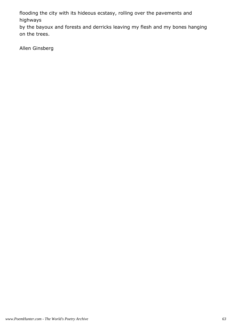flooding the city with its hideous ecstasy, rolling over the pavements and highways

by the bayoux and forests and derricks leaving my flesh and my bones hanging on the trees.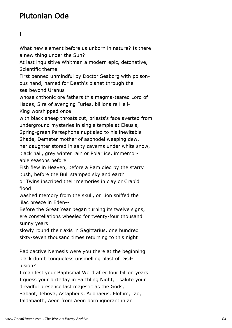## Plutonian Ode

#### I

What new element before us unborn in nature? Is there a new thing under the Sun? At last inquisitive Whitman a modern epic, detonative, Scientific theme First penned unmindful by Doctor Seaborg with poisonous hand, named for Death's planet through the sea beyond Uranus whose chthonic ore fathers this magma-teared Lord of Hades, Sire of avenging Furies, billionaire Hell-King worshipped once with black sheep throats cut, priests's face averted from underground mysteries in single temple at Eleusis, Spring-green Persephone nuptialed to his inevitable Shade, Demeter mother of asphodel weeping dew, her daughter stored in salty caverns under white snow, black hail, grey winter rain or Polar ice, immemorable seasons before Fish flew in Heaven, before a Ram died by the starry bush, before the Bull stamped sky and earth or Twins inscribed their memories in clay or Crab'd flood washed memory from the skull, or Lion sniffed the lilac breeze in Eden-- Before the Great Year began turning its twelve signs, ere constellations wheeled for twenty-four thousand sunny years slowly round their axis in Sagittarius, one hundred sixty-seven thousand times returning to this night Radioactive Nemesis were you there at the beginning black dumb tongueless unsmelling blast of Disillusion? I manifest your Baptismal Word after four billion years

I guess your birthday in Earthling Night, I salute your dreadful presence last majestic as the Gods,

Sabaot, Jehova, Astapheus, Adonaeus, Elohim, Iao, Ialdabaoth, Aeon from Aeon born ignorant in an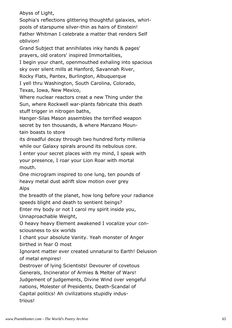Abyss of Light,

Sophia's reflections glittering thoughtful galaxies, whirlpools of starspume silver-thin as hairs of Einstein! Father Whitman I celebrate a matter that renders Self oblivion!

Grand Subject that annihilates inky hands & pages' prayers, old orators' inspired Immortalities,

I begin your chant, openmouthed exhaling into spacious sky over silent mills at Hanford, Savannah River,

Rocky Flats, Pantex, Burlington, Albuquerque

I yell thru Washington, South Carolina, Colorado, Texas, Iowa, New Mexico,

Where nuclear reactors creat a new Thing under the Sun, where Rockwell war-plants fabricate this death stuff trigger in nitrogen baths,

Hanger-Silas Mason assembles the terrified weapon secret by ten thousands, & where Manzano Mountain boasts to store

its dreadful decay through two hundred forty millenia while our Galaxy spirals around its nebulous core.

I enter your secret places with my mind, I speak with your presence, I roar your Lion Roar with mortal mouth.

One microgram inspired to one lung, ten pounds of heavy metal dust adrift slow motion over grey Alps

the breadth of the planet, how long before your radiance speeds blight and death to sentient beings?

Enter my body or not I carol my spirit inside you,

Unnaproachable Weight,

O heavy heavy Element awakened I vocalize your consciousness to six worlds

I chant your absolute Vanity. Yeah monster of Anger birthed in fear O most

Ignorant matter ever created unnatural to Earth! Delusion of metal empires!

Destroyer of lying Scientists! Devourer of covetous

Generals, Incinerator of Armies & Melter of Wars!

Judgement of judgements, Divine Wind over vengeful

nations, Molester of Presidents, Death-Scandal of

Capital politics! Ah civilizations stupidly indus-

trious!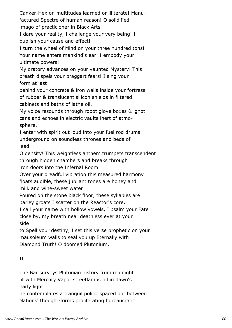Canker-Hex on multitudes learned or illiterate! Manufactured Spectre of human reason! O solidified imago of practicioner in Black Arts I dare your reality, I challenge your very being! I publish your cause and effect! I turn the wheel of Mind on your three hundred tons! Your name enters mankind's ear! I embody your ultimate powers! My oratory advances on your vaunted Mystery! This breath dispels your braggart fears! I sing your form at last behind your concrete & iron walls inside your fortress of rubber & translucent silicon shields in filtered cabinets and baths of lathe oil, My voice resounds through robot glove boxes & ignot cans and echoes in electric vaults inert of atmosphere, I enter with spirit out loud into your fuel rod drums underground on soundless thrones and beds of lead O density! This weightless anthem trumpets transcendent through hidden chambers and breaks through iron doors into the Infernal Room! Over your dreadful vibration this measured harmony floats audible, these jubilant tones are honey and milk and wine-sweet water Poured on the stone black floor, these syllables are barley groats I scatter on the Reactor's core, I call your name with hollow vowels, I psalm your Fate close by, my breath near deathless ever at your side to Spell your destiny, I set this verse prophetic on your mausoleum walls to seal you up Eternally with Diamond Truth! O doomed Plutonium.

#### II

The Bar surveys Plutonian history from midnight lit with Mercury Vapor streetlamps till in dawn's early light

he contemplates a tranquil politic spaced out between Nations' thought-forms proliferating bureaucratic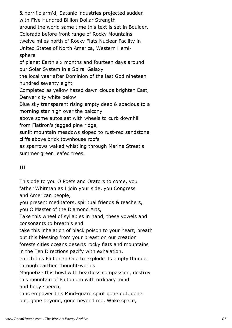& horrific arm'd, Satanic industries projected sudden with Five Hundred Billion Dollar Strength around the world same time this text is set in Boulder, Colorado before front range of Rocky Mountains twelve miles north of Rocky Flats Nuclear Facility in United States of North America, Western Hemisphere of planet Earth six months and fourteen days around our Solar System in a Spiral Galaxy the local year after Dominion of the last God nineteen hundred seventy eight Completed as yellow hazed dawn clouds brighten East, Denver city white below Blue sky transparent rising empty deep & spacious to a morning star high over the balcony above some autos sat with wheels to curb downhill from Flatiron's jagged pine ridge, sunlit mountain meadows sloped to rust-red sandstone cliffs above brick townhouse roofs as sparrows waked whistling through Marine Street's summer green leafed trees.

#### III

This ode to you O Poets and Orators to come, you father Whitman as I join your side, you Congress and American people, you present meditators, spiritual friends & teachers, you O Master of the Diamond Arts, Take this wheel of syllables in hand, these vowels and consonants to breath's end take this inhalation of black poison to your heart, breath out this blessing from your breast on our creation forests cities oceans deserts rocky flats and mountains in the Ten Directions pacify with exhalation, enrich this Plutonian Ode to explode its empty thunder through earthen thought-worlds Magnetize this howl with heartless compassion, destroy this mountain of Plutonium with ordinary mind and body speech, thus empower this Mind-guard spirit gone out, gone out, gone beyond, gone beyond me, Wake space,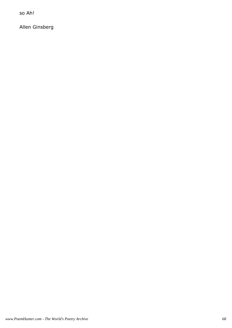so Ah!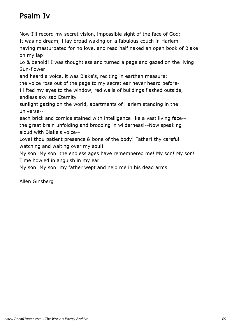# Psalm Iv

Now I'll record my secret vision, impossible sight of the face of God:

It was no dream, I lay broad waking on a fabulous couch in Harlem

having masturbated for no love, and read half naked an open book of Blake on my lap

Lo & behold! I was thoughtless and turned a page and gazed on the living Sun-flower

and heard a voice, it was Blake's, reciting in earthen measure:

the voice rose out of the page to my secret ear never heard before-

I lifted my eyes to the window, red walls of buildings flashed outside, endless sky sad Eternity

sunlight gazing on the world, apartments of Harlem standing in the universe--

each brick and cornice stained with intelligence like a vast living face- the great brain unfolding and brooding in wilderness!--Now speaking aloud with Blake's voice--

Love! thou patient presence & bone of the body! Father! thy careful watching and waiting over my soul!

My son! My son! the endless ages have remembered me! My son! My son! Time howled in anguish in my ear!

My son! My son! my father wept and held me in his dead arms.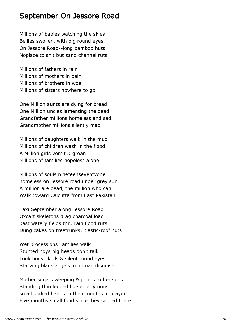### September On Jessore Road

Millions of babies watching the skies Bellies swollen, with big round eyes On Jessore Road--long bamboo huts Noplace to shit but sand channel ruts

Millions of fathers in rain Millions of mothers in pain Millions of brothers in woe Millions of sisters nowhere to go

One Million aunts are dying for bread One Million uncles lamenting the dead Grandfather millions homeless and sad Grandmother millions silently mad

Millions of daughters walk in the mud Millions of children wash in the flood A Million girls vomit & groan Millions of families hopeless alone

Millions of souls nineteenseventyone homeless on Jessore road under grey sun A million are dead, the million who can Walk toward Calcutta from East Pakistan

Taxi September along Jessore Road Oxcart skeletons drag charcoal load past watery fields thru rain flood ruts Dung cakes on treetrunks, plastic-roof huts

Wet processions Families walk Stunted boys big heads don't talk Look bony skulls & silent round eyes Starving black angels in human disguise

Mother squats weeping & points to her sons Standing thin legged like elderly nuns small bodied hands to their mouths in prayer Five months small food since they settled there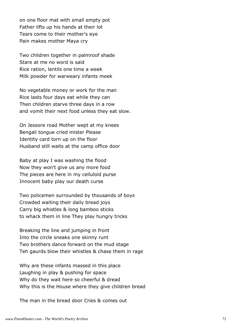on one floor mat with small empty pot Father lifts up his hands at their lot Tears come to their mother's eye Pain makes mother Maya cry

Two children together in palmroof shade Stare at me no word is said Rice ration, lentils one time a week Milk powder for warweary infants meek

No vegetable money or work for the man Rice lasts four days eat while they can Then children starve three days in a row and vomit their next food unless they eat slow.

On Jessore road Mother wept at my knees Bengali tongue cried mister Please Identity card torn up on the floor Husband still waits at the camp office door

Baby at play I was washing the flood Now they won't give us any more food The pieces are here in my celluloid purse Innocent baby play our death curse

Two policemen surrounded by thousands of boys Crowded waiting their daily bread joys Carry big whistles & long bamboo sticks to whack them in line They play hungry tricks

Breaking the line and jumping in front Into the circle sneaks one skinny runt Two brothers dance forward on the mud stage Teh gaurds blow their whistles & chase them in rage

Why are these infants massed in this place Laughing in play & pushing for space Why do they wait here so cheerful & dread Why this is the House where they give children bread

The man in the bread door Cries & comes out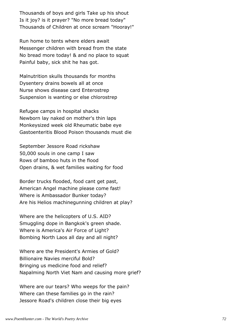Thousands of boys and girls Take up his shout Is it joy? is it prayer? "No more bread today" Thousands of Children at once scream "Hooray!"

Run home to tents where elders await Messenger children with bread from the state No bread more today! & and no place to squat Painful baby, sick shit he has got.

Malnutrition skulls thousands for months Dysentery drains bowels all at once Nurse shows disease card Enterostrep Suspension is wanting or else chlorostrep

Refugee camps in hospital shacks Newborn lay naked on mother's thin laps Monkeysized week old Rheumatic babe eye Gastoenteritis Blood Poison thousands must die

September Jessore Road rickshaw 50,000 souls in one camp I saw Rows of bamboo huts in the flood Open drains, & wet families waiting for food

Border trucks flooded, food cant get past, American Angel machine please come fast! Where is Ambassador Bunker today? Are his Helios machinegunning children at play?

Where are the helicopters of U.S. AID? Smuggling dope in Bangkok's green shade. Where is America's Air Force of Light? Bombing North Laos all day and all night?

Where are the President's Armies of Gold? Billionaire Navies merciful Bold? Bringing us medicine food and relief? Napalming North Viet Nam and causing more grief?

Where are our tears? Who weeps for the pain? Where can these families go in the rain? Jessore Road's children close their big eyes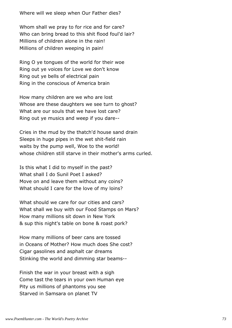Where will we sleep when Our Father dies?

Whom shall we pray to for rice and for care? Who can bring bread to this shit flood foul'd lair? Millions of children alone in the rain! Millions of children weeping in pain!

Ring O ye tongues of the world for their woe Ring out ye voices for Love we don't know Ring out ye bells of electrical pain Ring in the conscious of America brain

How many children are we who are lost Whose are these daughters we see turn to ghost? What are our souls that we have lost care? Ring out ye musics and weep if you dare--

Cries in the mud by the thatch'd house sand drain Sleeps in huge pipes in the wet shit-field rain waits by the pump well, Woe to the world! whose children still starve in their mother's arms curled.

Is this what I did to myself in the past? What shall I do Sunil Poet I asked? Move on and leave them without any coins? What should I care for the love of my loins?

What should we care for our cities and cars? What shall we buy with our Food Stamps on Mars? How many millions sit down in New York & sup this night's table on bone & roast pork?

How many millions of beer cans are tossed in Oceans of Mother? How much does She cost? Cigar gasolines and asphalt car dreams Stinking the world and dimming star beams--

Finish the war in your breast with a sigh Come tast the tears in your own Human eye Pity us millions of phantoms you see Starved in Samsara on planet TV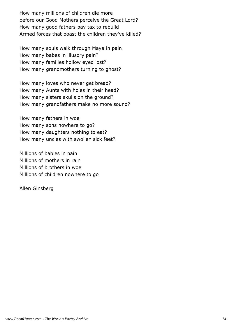How many millions of children die more before our Good Mothers perceive the Great Lord? How many good fathers pay tax to rebuild Armed forces that boast the children they've killed?

How many souls walk through Maya in pain How many babes in illusory pain? How many families hollow eyed lost? How many grandmothers turning to ghost?

How many loves who never get bread? How many Aunts with holes in their head? How many sisters skulls on the ground? How many grandfathers make no more sound?

How many fathers in woe How many sons nowhere to go? How many daughters nothing to eat? How many uncles with swollen sick feet?

Millions of babies in pain Millions of mothers in rain Millions of brothers in woe Millions of children nowhere to go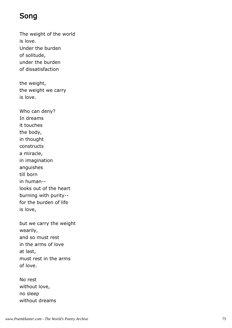# Song

The weight of the world is love. Under the burden of solitude, under the burden of dissatisfaction

the weight, the weight we carry is love.

Who can deny? In dreams it touches the body, in thought constructs a miracle, in imagination anguishes till born in human- looks out of the heart burning with purity- for the burden of life is love,

but we carry the weight wearily, and so must rest in the arms of love at last, must rest in the arms of love.

No rest without love, no sleep without dreams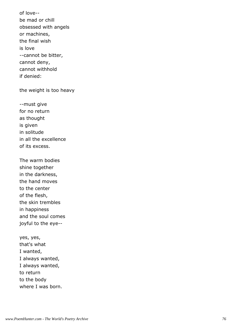of love- be mad or chill obsessed with angels or machines, the final wish is love --cannot be bitter, cannot deny, cannot withhold if denied:

the weight is too heavy

--must give for no return as thought is given in solitude in all the excellence of its excess.

The warm bodies shine together in the darkness, the hand moves to the center of the flesh, the skin trembles in happiness and the soul comes joyful to the eye--

yes, yes, that's what I wanted, I always wanted, I always wanted, to return to the body where I was born.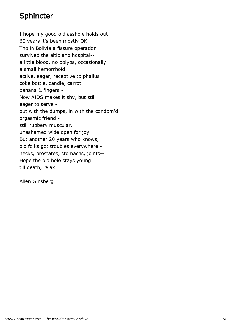# **Sphincter**

I hope my good old asshole holds out 60 years it's been mostly OK Tho in Bolivia a fissure operation survived the altiplano hospital- a little blood, no polyps, occasionally a small hemorrhoid active, eager, receptive to phallus coke bottle, candle, carrot banana & fingers - Now AIDS makes it shy, but still eager to serve out with the dumps, in with the condom'd orgasmic friend still rubbery muscular, unashamed wide open for joy But another 20 years who knows, old folks got troubles everywhere necks, prostates, stomachs, joints-- Hope the old hole stays young till death, relax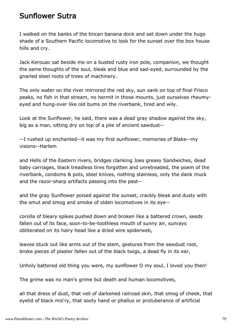### Sunflower Sutra

I walked on the banks of the tincan banana dock and sat down under the huge shade of a Southern Pacific locomotive to look for the sunset over the box house hills and cry.

Jack Kerouac sat beside me on a busted rusty iron pole, companion, we thought the same thoughts of the soul, bleak and blue and sad-eyed, surrounded by the gnarled steel roots of trees of machinery.

The only water on the river mirrored the red sky, sun sank on top of final Frisco peaks, no fish in that stream, no hermit in those mounts, just ourselves rheumyeyed and hung-over like old bums on the riverbank, tired and wily.

Look at the Sunflower, he said, there was a dead gray shadow against the sky, big as a man, sitting dry on top of a pile of ancient sawdust--

--I rushed up enchanted--it was my first sunflower, memories of Blake--my visions--Harlem

and Hells of the Eastern rivers, bridges clanking Joes greasy Sandwiches, dead baby carriages, black treadless tires forgotten and unretreaded, the poem of the riverbank, condoms & pots, steel knives, nothing stainless, only the dank muck and the razor-sharp artifacts passing into the past--

and the gray Sunflower poised against the sunset, crackly bleak and dusty with the smut and smog and smoke of olden locomotives in its eye--

corolla of bleary spikes pushed down and broken like a battered crown, seeds fallen out of its face, soon-to-be-toothless mouth of sunny air, sunrays obliterated on its hairy head like a dried wire spiderweb,

leaves stuck out like arms out of the stem, gestures from the sawdust root, broke pieces of plaster fallen out of the black twigs, a dead fly in its ear,

Unholy battered old thing you were, my sunflower O my soul, I loved you then!

The grime was no man's grime but death and human locomotives,

all that dress of dust, that veil of darkened railroad skin, that smog of cheek, that eyelid of black mis'ry, that sooty hand or phallus or protuberance of artificial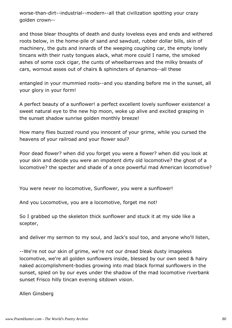worse-than-dirt--industrial--modern--all that civilization spotting your crazy golden crown--

and those blear thoughts of death and dusty loveless eyes and ends and withered roots below, in the home-pile of sand and sawdust, rubber dollar bills, skin of machinery, the guts and innards of the weeping coughing car, the empty lonely tincans with their rusty tongues alack, what more could I name, the smoked ashes of some cock cigar, the cunts of wheelbarrows and the milky breasts of cars, wornout asses out of chairs & sphincters of dynamos--all these

entangled in your mummied roots--and you standing before me in the sunset, all your glory in your form!

A perfect beauty of a sunflower! a perfect excellent lovely sunflower existence! a sweet natural eye to the new hip moon, woke up alive and excited grasping in the sunset shadow sunrise golden monthly breeze!

How many flies buzzed round you innocent of your grime, while you cursed the heavens of your railroad and your flower soul?

Poor dead flower? when did you forget you were a flower? when did you look at your skin and decide you were an impotent dirty old locomotive? the ghost of a locomotive? the specter and shade of a once powerful mad American locomotive?

You were never no locomotive, Sunflower, you were a sunflower!

And you Locomotive, you are a locomotive, forget me not!

So I grabbed up the skeleton thick sunflower and stuck it at my side like a scepter,

and deliver my sermon to my soul, and Jack's soul too, and anyone who'll listen,

--We're not our skin of grime, we're not our dread bleak dusty imageless locomotive, we're all golden sunflowers inside, blessed by our own seed & hairy naked accomplishment-bodies growing into mad black formal sunflowers in the sunset, spied on by our eyes under the shadow of the mad locomotive riverbank sunset Frisco hilly tincan evening sitdown vision.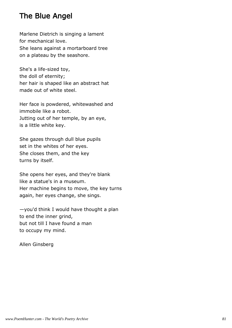## The Blue Angel

Marlene Dietrich is singing a lament for mechanical love. She leans against a mortarboard tree on a plateau by the seashore.

She's a life-sized toy, the doll of eternity; her hair is shaped like an abstract hat made out of white steel.

Her face is powdered, whitewashed and immobile like a robot. Jutting out of her temple, by an eye, is a little white key.

She gazes through dull blue pupils set in the whites of her eyes. She closes them, and the key turns by itself.

She opens her eyes, and they're blank like a statue's in a museum. Her machine begins to move, the key turns again, her eyes change, she sings.

—you'd think I would have thought a plan to end the inner grind, but not till I have found a man to occupy my mind.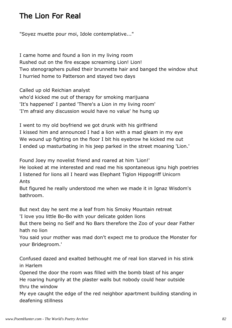# The Lion For Real

"Soyez muette pour moi, Idole contemplative..."

I came home and found a lion in my living room Rushed out on the fire escape screaming Lion! Lion! Two stenographers pulled their brunnette hair and banged the window shut I hurried home to Patterson and stayed two days

Called up old Reichian analyst

who'd kicked me out of therapy for smoking marijuana 'It's happened' I panted 'There's a Lion in my living room' 'I'm afraid any discussion would have no value' he hung up

I went to my old boyfriend we got drunk with his girlfriend I kissed him and announced I had a lion with a mad gleam in my eye We wound up fighting on the floor I bit his eyebrow he kicked me out I ended up masturbating in his jeep parked in the street moaning 'Lion.'

Found Joey my novelist friend and roared at him 'Lion!'

He looked at me interested and read me his spontaneous ignu high poetries I listened for lions all I heard was Elephant Tiglon Hippogriff Unicorn Ants

But figured he really understood me when we made it in Ignaz Wisdom's bathroom.

But next day he sent me a leaf from his Smoky Mountain retreat

'I love you little Bo-Bo with your delicate golden lions

But there being no Self and No Bars therefore the Zoo of your dear Father hath no lion

You said your mother was mad don't expect me to produce the Monster for your Bridegroom.'

Confused dazed and exalted bethought me of real lion starved in his stink in Harlem

Opened the door the room was filled with the bomb blast of his anger He roaring hungrily at the plaster walls but nobody could hear outside thru the window

My eye caught the edge of the red neighbor apartment building standing in deafening stillness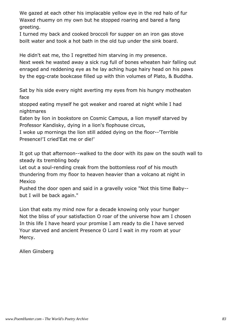We gazed at each other his implacable yellow eye in the red halo of fur Waxed rhuemy on my own but he stopped roaring and bared a fang greeting.

I turned my back and cooked broccoli for supper on an iron gas stove boilt water and took a hot bath in the old tup under the sink board.

He didn't eat me, tho I regretted him starving in my presence. Next week he wasted away a sick rug full of bones wheaten hair falling out enraged and reddening eye as he lay aching huge hairy head on his paws by the egg-crate bookcase filled up with thin volumes of Plato, & Buddha.

Sat by his side every night averting my eyes from his hungry motheaten face

stopped eating myself he got weaker and roared at night while I had nightmares

Eaten by lion in bookstore on Cosmic Campus, a lion myself starved by Professor Kandisky, dying in a lion's flophouse circus,

I woke up mornings the lion still added dying on the floor--'Terrible Presence!'I cried'Eat me or die!'

It got up that afternoon--walked to the door with its paw on the south wall to steady its trembling body

Let out a soul-rending creak from the bottomless roof of his mouth thundering from my floor to heaven heavier than a volcano at night in Mexico

Pushed the door open and said in a gravelly voice "Not this time Baby- but I will be back again."

Lion that eats my mind now for a decade knowing only your hunger Not the bliss of your satisfaction O roar of the universe how am I chosen In this life I have heard your promise I am ready to die I have served Your starved and ancient Presence O Lord I wait in my room at your Mercy.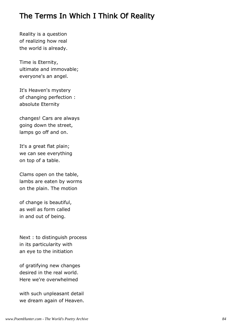## The Terms In Which I Think Of Reality

Reality is a question of realizing how real the world is already.

Time is Eternity, ultimate and immovable; everyone's an angel.

It's Heaven's mystery of changing perfection : absolute Eternity

changes! Cars are always going down the street, lamps go off and on.

It's a great flat plain; we can see everything on top of a table.

Clams open on the table, lambs are eaten by worms on the plain. The motion

of change is beautiful, as well as form called in and out of being.

Next : to distinguish process in its particularity with an eye to the initiation

of gratifying new changes desired in the real world. Here we're overwhelmed

with such unpleasant detail we dream again of Heaven.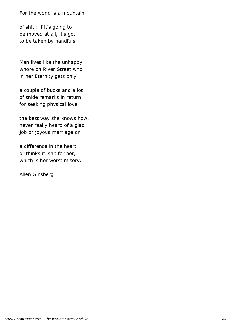For the world is a mountain

of shit : if it's going to be moved at all, it's got to be taken by handfuls.

Man lives like the unhappy whore on River Street who in her Eternity gets only

a couple of bucks and a lot of snide remarks in return for seeking physical love

the best way she knows how, never really heard of a glad job or joyous marriage or

a difference in the heart : or thinks it isn't for her, which is her worst misery.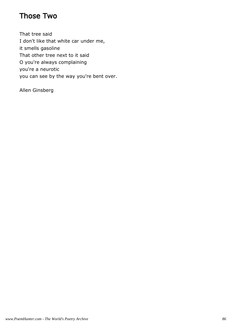### Those Two

That tree said I don't like that white car under me, it smells gasoline That other tree next to it said O you're always complaining you're a neurotic you can see by the way you're bent over.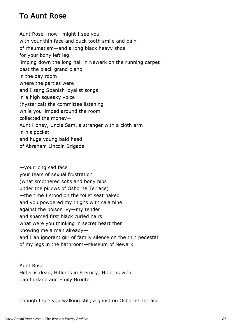## To Aunt Rose

Aunt Rose—now—might I see you with your thin face and buck tooth smile and pain of rheumatism—and a long black heavy shoe for your bony left leg limping down the long hall in Newark on the running carpet past the black grand piano in the day room where the parties were and I sang Spanish loyalist songs in a high squeaky voice (hysterical) the committee listening while you limped around the room collected the money— Aunt Honey, Uncle Sam, a stranger with a cloth arm in his pocket and huge young bald head of Abraham Lincoln Brigade

—your long sad face your tears of sexual frustration (what smothered sobs and bony hips under the pillows of Osborne Terrace) —the time I stood on the toilet seat naked and you powdered my thighs with calamine against the poison ivy—my tender and shamed first black curled hairs what were you thinking in secret heart then knowing me a man already and I an ignorant girl of family silence on the thin pedestal of my legs in the bathroom—Museum of Newark.

Aunt Rose Hitler is dead, Hitler is in Eternity; Hitler is with Tamburlane and Emily Brontë

Though I see you walking still, a ghost on Osborne Terrace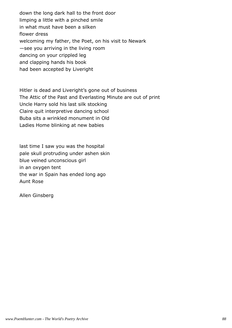down the long dark hall to the front door limping a little with a pinched smile in what must have been a silken flower dress welcoming my father, the Poet, on his visit to Newark —see you arriving in the living room dancing on your crippled leg and clapping hands his book had been accepted by Liveright

Hitler is dead and Liveright's gone out of business The Attic of the Past and Everlasting Minute are out of print Uncle Harry sold his last silk stocking Claire quit interpretive dancing school Buba sits a wrinkled monument in Old Ladies Home blinking at new babies

last time I saw you was the hospital pale skull protruding under ashen skin blue veined unconscious girl in an oxygen tent the war in Spain has ended long ago Aunt Rose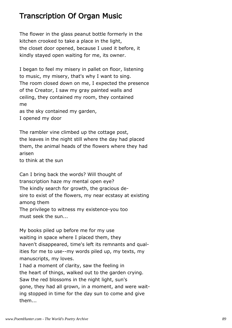### Transcription Of Organ Music

The flower in the glass peanut bottle formerly in the kitchen crooked to take a place in the light, the closet door opened, because I used it before, it kindly stayed open waiting for me, its owner.

I began to feel my misery in pallet on floor, listening to music, my misery, that's why I want to sing. The room closed down on me, I expected the presence of the Creator, I saw my gray painted walls and ceiling, they contained my room, they contained me

as the sky contained my garden, I opened my door

The rambler vine climbed up the cottage post, the leaves in the night still where the day had placed them, the animal heads of the flowers where they had arisen to think at the sun

Can I bring back the words? Will thought of transcription haze my mental open eye? The kindly search for growth, the gracious desire to exist of the flowers, my near ecstasy at existing among them The privilege to witness my existence-you too must seek the sun...

My books piled up before me for my use waiting in space where I placed them, they haven't disappeared, time's left its remnants and qualities for me to use--my words piled up, my texts, my manuscripts, my loves. I had a moment of clarity, saw the feeling in the heart of things, walked out to the garden crying. Saw the red blossoms in the night light, sun's gone, they had all grown, in a moment, and were waiting stopped in time for the day sun to come and give them...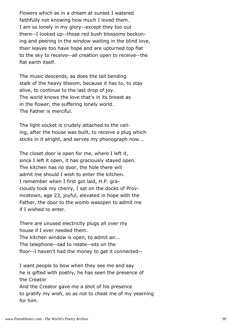Flowers which as in a dream at sunset I watered faithfully not knowing how much I loved them. I am so lonely in my glory--except they too out there--I looked up--those red bush blossoms beckoning and peering in the window waiting in the blind love, their leaves too have hope and are upturned top flat to the sky to receive--all creation open to receive--the flat earth itself.

The music descends, as does the tall bending stalk of the heavy blssom, because it has to, to stay alive, to continue to the last drop of joy. The world knows the love that's in its breast as in the flower, the suffering lonely world. The Father is merciful.

The light socket is crudely attached to the ceiling, after the house was built, to receive a plug which sticks in it alright, and serves my phonograph now...

The closet door is open for me, where I left it, since I left it open, it has graciously stayed open. The kitchen has no door, the hole there will admit me should I wish to enter the kitchen. I remember when I first got laid, H.P. graciously took my cherry, I sat on the docks of Provincetown, age 23, joyful, elevated in hope with the Father, the door to the womb wasopen to admit me if I wished to enter.

There are unused electricity plugs all over my house if I ever needed them. The kitchen window is open, to admit air... The telephone--sad to relate--sits on the floor--I haven't had the money to get it connected--

I want people to bow when they see me and say he is gifted with poetry, he has seen the presence of the Creator And the Creator gave me a shot of his presence to gratify my wish, so as not to cheat me of my yearning for him.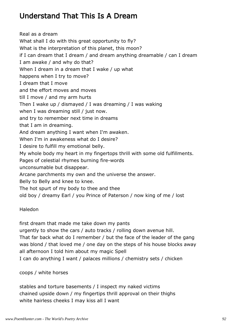# Understand That This Is A Dream

Real as a dream What shall I do with this great opportunity to fly? What is the interpretation of this planet, this moon? if I can dream that I dream / and dream anything dreamable / can I dream I am awake / and why do that? When I dream in a dream that I wake / up what happens when I try to move? I dream that I move and the effort moves and moves till I move / and my arm hurts Then I wake up / dismayed / I was dreaming / I was waking when I was dreaming still / just now. and try to remember next time in dreams that I am in dreaming. And dream anything I want when I'm awaken. When I'm in awakeness what do I desire? I desire to fulfill my emotional belly. My whole body my heart in my fingertops thrill with some old fulfillments. Pages of celestial rhymes burning fire-words unconsumable but disappear. Arcane parchments my own and the universe the answer. Belly to Belly and knee to knee. The hot spurt of my body to thee and thee old boy / dreamy Earl / you Prince of Paterson / now king of me / lost

### Haledon

first dream that made me take down my pants

urgently to show the cars / auto tracks / rolling down avenue hill.

That far back what do I remember / but the face of the leader of the gang was blond / that loved me / one day on the steps of his house blocks away all afternoon I told him about my magic Spell

I can do anything I want / palaces millions / chemistry sets / chicken

coops / white horses

stables and torture basements / I inspect my naked victims chained upside down / my fingertips thrill approval on their thighs white hairless cheeks I may kiss all I want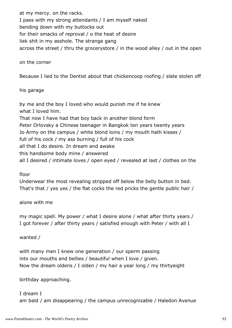at my mercy. on the racks. I pass with my strong attendants / I am myself naked bending down with my buttocks out for their smacks of reproval / o the heat of desire liek shit in my asshole. The strange gang across the street / thru the grocerystore / in the wood alley / out in the open

on the corner

Because I lied to the Dentist about that chickencoop roofing / slate stolen off

### his garage

by me and the boy I loved who would punish me if he knew what I loved him. That now I have had that boy back in another blond form Peter Orlovsky a Chinese teenager in Bangkok ten years twenty years Jo Army on the campus / white blond loins / my mouth hath kisses / full of his cock / my ass burning / full of his cock all that I do desire. In dream and awake this handsome body mine / answered all I desired / intimate loves / open eyed / revealed at last / clothes on the

### floor

Underwear the most revealing stripped off below the belly button in bed. That's that / yes yes / the flat cocks the red pricks the gentle public hair /

alone with me

my magic spell. My power / what I desire alone / what after thirty years / I got forever / after thirty years / satisfied enough with Peter / with all I

wanted /

with many men I knew one generation / our sperm passing into our mouths and bellies / beautiful when I love / given. Now the dream oldens / I olden / my hair a year long / my thirtyeight

birthday approaching.

```
I dream I
am bald / am disappearing / the campus unrecognizable / Haledon Avenue
```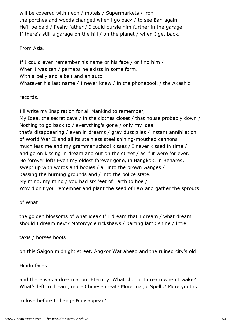will be covered with neon / motels / Supermarkets / iron the porches and woods changed when i go back / to see Earl again He'll be bald / fleshy father / I could pursie him further in the garage If there's still a garage on the hill / on the planet / when I get back.

From Asia.

If I could even remember his name or his face / or find him / When I was ten / perhaps he exists in some form. With a belly and a belt and an auto Whatever his last name / I never knew / in the phonebook / the Akashic

records.

I'll write my Inspiration for all Mankind to remember, My Idea, the secret cave / in the clothes closet / that house probably down / Nothing to go back to / everything's gone / only my idea that's disappearing / even in dreams / gray dust piles / instant annihilation of World War II and all its stainless steel shining-mouthed cannons much less me and my grammar school kisses / I never kissed in time / and go on kissing in dream and out on the street / as if it were for ever. No forever left! Even my oldest forever gone, in Bangkok, in Benares, swept up with words and bodies / all into the brown Ganges / passing the burning grounds and / into the police state. My mind, my mind / you had six feet of Earth to hoe / Why didn't you remember and plant the seed of Law and gather the sprouts

### of What?

the golden blossoms of what idea? If I dream that I dream / what dream should I dream next? Motorcycle rickshaws / parting lamp shine / little

taxis / horses hoofs

on this Saigon midnight street. Angkor Wat ahead and the ruined city's old

Hindu faces

and there was a dream about Eternity. What should I dream when I wake? What's left to dream, more Chinese meat? More magic Spells? More youths

to love before I change & disappear?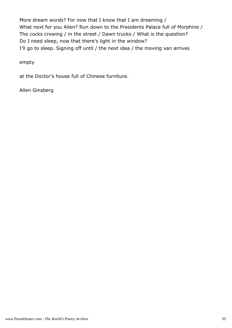More dream words? For now that I know that I am dreaming / What next for you Allen? Run down to the Presidents Palace full of Morphine / The cocks crowing / in the street / Dawn trucks / What is the question? Do I need sleep, now that there's light in the window? I'll go to sleep. Signing off until / the next idea / the moving van arrives

empty

at the Doctor's house full of Chinese furniture.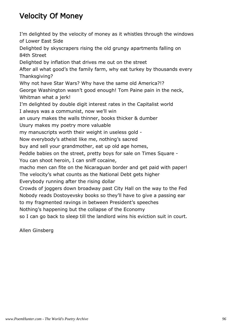# Velocity Of Money

I'm delighted by the velocity of money as it whistles through the windows of Lower East Side Delighted by skyscrapers rising the old grungy apartments falling on 84th Street Delighted by inflation that drives me out on the street After all what good's the family farm, why eat turkey by thousands every Thanksgiving? Why not have Star Wars? Why have the same old America?!? George Washington wasn't good enough! Tom Paine pain in the neck, Whitman what a jerk! I'm delighted by double digit interest rates in the Capitalist world I always was a communist, now we'll win an usury makes the walls thinner, books thicker & dumber Usury makes my poetry more valuable my manuscripts worth their weight in useless gold - Now everybody's atheist like me, nothing's sacred buy and sell your grandmother, eat up old age homes, Peddle babies on the street, pretty boys for sale on Times Square - You can shoot heroin, I can sniff cocaine, macho men can fite on the Nicaraguan border and get paid with paper! The velocity's what counts as the National Debt gets higher Everybody running after the rising dollar Crowds of joggers down broadway past City Hall on the way to the Fed Nobody reads Dostoyevsky books so they'll have to give a passing ear to my fragmented ravings in between President's speeches Nothing's happening but the collapse of the Economy so I can go back to sleep till the landlord wins his eviction suit in court.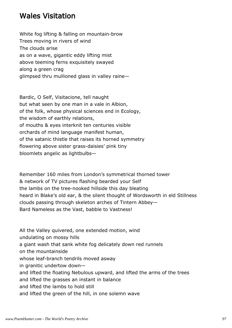### Wales Visitation

White fog lifting & falling on mountain-brow Trees moving in rivers of wind The clouds arise as on a wave, gigantic eddy lifting mist above teeming ferns exquisitely swayed along a green crag glimpsed thru mullioned glass in valley raine—

Bardic, O Self, Visitacione, tell naught but what seen by one man in a vale in Albion, of the folk, whose physical sciences end in Ecology, the wisdom of earthly relations, of mouths & eyes interknit ten centuries visible orchards of mind language manifest human, of the satanic thistle that raises its horned symmetry flowering above sister grass-daisies' pink tiny bloomlets angelic as lightbulbs—

Remember 160 miles from London's symmetrical thorned tower & network of TV pictures flashing bearded your Self the lambs on the tree-nooked hillside this day bleating heard in Blake's old ear, & the silent thought of Wordsworth in eld Stillness clouds passing through skeleton arches of Tintern Abbey— Bard Nameless as the Vast, babble to Vastness!

All the Valley quivered, one extended motion, wind undulating on mossy hills a giant wash that sank white fog delicately down red runnels on the mountainside whose leaf-branch tendrils moved asway in granitic undertow down and lifted the floating Nebulous upward, and lifted the arms of the trees and lifted the grasses an instant in balance and lifted the lambs to hold still and lifted the green of the hill, in one solemn wave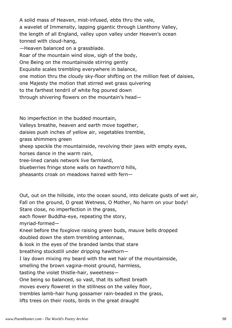A solid mass of Heaven, mist-infused, ebbs thru the vale, a wavelet of Immensity, lapping gigantic through Llanthony Valley, the length of all England, valley upon valley under Heaven's ocean tonned with cloud-hang, —Heaven balanced on a grassblade. Roar of the mountain wind slow, sigh of the body, One Being on the mountainside stirring gently Exquisite scales trembling everywhere in balance, one motion thru the cloudy sky-floor shifting on the million feet of daisies, one Majesty the motion that stirred wet grass quivering

to the farthest tendril of white fog poured down

through shivering flowers on the mountain's head—

No imperfection in the budded mountain,

Valleys breathe, heaven and earth move together,

daisies push inches of yellow air, vegetables tremble,

grass shimmers green

sheep speckle the mountainside, revolving their jaws with empty eyes,

horses dance in the warm rain,

tree-lined canals network live farmland,

blueberries fringe stone walls on hawthorn'd hills,

pheasants croak on meadows haired with fern—

Out, out on the hillside, into the ocean sound, into delicate gusts of wet air, Fall on the ground, O great Wetness, O Mother, No harm on your body! Stare close, no imperfection in the grass,

each flower Buddha-eye, repeating the story,

myriad-formed—

Kneel before the foxglove raising green buds, mauve bells dropped doubled down the stem trembling antennae,

& look in the eyes of the branded lambs that stare

breathing stockstill under dripping hawthorn—

I lay down mixing my beard with the wet hair of the mountainside,

smelling the brown vagina-moist ground, harmless,

tasting the violet thistle-hair, sweetness—

One being so balanced, so vast, that its softest breath

moves every floweret in the stillness on the valley floor,

trembles lamb-hair hung gossamer rain-beaded in the grass,

lifts trees on their roots, birds in the great draught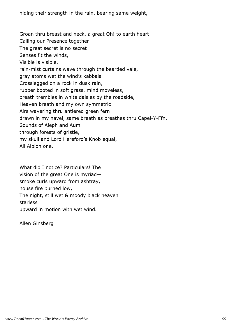hiding their strength in the rain, bearing same weight,

Groan thru breast and neck, a great Oh! to earth heart Calling our Presence together The great secret is no secret Senses fit the winds, Visible is visible, rain-mist curtains wave through the bearded vale, gray atoms wet the wind's kabbala Crosslegged on a rock in dusk rain, rubber booted in soft grass, mind moveless, breath trembles in white daisies by the roadside, Heaven breath and my own symmetric Airs wavering thru antlered green fern drawn in my navel, same breath as breathes thru Capel-Y-Ffn, Sounds of Aleph and Aum through forests of gristle, my skull and Lord Hereford's Knob equal, All Albion one.

What did I notice? Particulars! The vision of the great One is myriad smoke curls upward from ashtray, house fire burned low, The night, still wet & moody black heaven starless upward in motion with wet wind.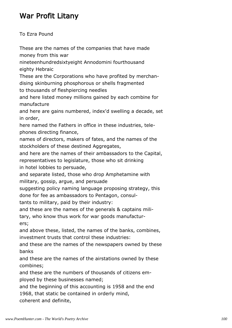### War Profit Litany

### To Ezra Pound

These are the names of the companies that have made money from this war nineteenhundredsixtyeight Annodomini fourthousand eighty Hebraic These are the Corporations who have profited by merchandising skinburning phosphorous or shells fragmented to thousands of fleshpiercing needles and here listed money millions gained by each combine for manufacture and here are gains numbered, index'd swelling a decade, set in order, here named the Fathers in office in these industries, telephones directing finance, names of directors, makers of fates, and the names of the stockholders of these destined Aggregates, and here are the names of their ambassadors to the Capital, representatives to legislature, those who sit drinking in hotel lobbies to persuade, and separate listed, those who drop Amphetamine with military, gossip, argue, and persuade suggesting policy naming language proposing strategy, this done for fee as ambassadors to Pentagon, consultants to military, paid by their industry: and these are the names of the generals & captains military, who know thus work for war goods manufacturers; and above these, listed, the names of the banks, combines, investment trusts that control these industries: and these are the names of the newspapers owned by these banks and these are the names of the airstations owned by these combines; and these are the numbers of thousands of citizens employed by these businesses named; and the beginning of this accounting is 1958 and the end 1968, that static be contained in orderly mind, coherent and definite,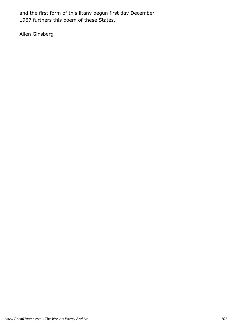and the first form of this litany begun first day December 1967 furthers this poem of these States.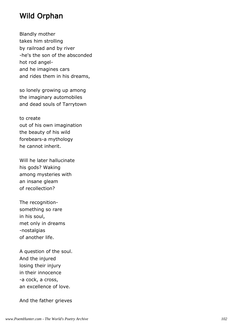### Wild Orphan

Blandly mother takes him strolling by railroad and by river -he's the son of the absconded hot rod angeland he imagines cars and rides them in his dreams,

so lonely growing up among the imaginary automobiles and dead souls of Tarrytown

to create out of his own imagination the beauty of his wild forebears-a mythology he cannot inherit.

Will he later hallucinate his gods? Waking among mysteries with an insane gleam of recollection?

The recognitionsomething so rare in his soul, met only in dreams -nostalgias of another life.

A question of the soul. And the injured losing their injury in their innocence -a cock, a cross, an excellence of love.

And the father grieves